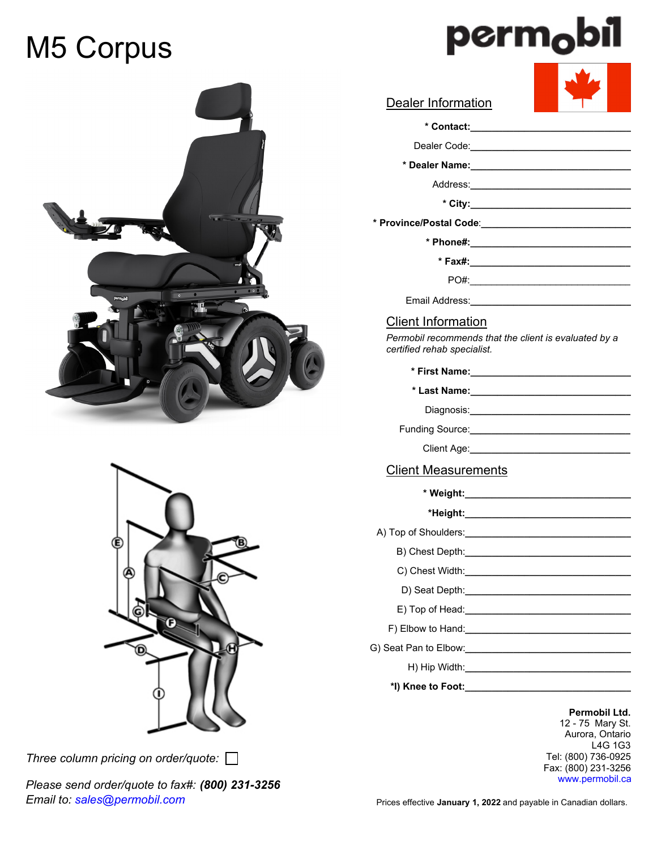# M5 Corpus





*Three column pricing on order/quote:* 

*Please send order/quote to fax#: (800) 231-3256 Email to: sales@permobil.com*

# PO#:  **\* Dealer Name:\_\_\_\_\_\_\_\_\_\_\_\_\_\_\_\_\_\_\_\_\_\_\_\_\_\_\_\_\_\_** Address:**\_\_\_\_\_\_\_\_\_\_\_\_\_\_\_\_\_\_\_\_\_\_\_\_\_\_\_\_\_\_ \* Phone#:\_\_\_\_\_\_\_\_\_\_\_\_\_\_\_\_\_\_\_\_\_\_\_\_\_\_\_\_\_\_ \* Contact:\_\_\_\_\_\_\_\_\_\_\_\_\_\_\_\_\_\_\_\_\_\_\_\_\_\_\_\_\_\_ \* City:\_\_\_\_\_\_\_\_\_\_\_\_\_\_\_\_\_\_\_\_\_\_\_\_\_\_\_\_\_\_ \* Fax#:\_\_\_\_\_\_\_\_\_\_\_\_\_\_\_\_\_\_\_\_\_\_\_\_\_\_\_\_\_\_ \* Weight:\_\_\_\_\_\_\_\_\_\_\_\_\_\_\_\_\_\_\_\_\_\_\_\_\_\_\_\_\_\_\_ \*Height:\_\_\_\_\_\_\_\_\_\_\_\_\_\_\_\_\_\_\_\_\_\_\_\_\_\_\_\_\_\_\_** A) Top of Shoulders:**\_\_\_\_\_\_\_\_\_\_\_\_\_\_\_\_\_\_\_\_\_\_\_\_\_\_\_\_\_\_\_** B) Chest Depth: C) Chest Width:**\_\_\_\_\_\_\_\_\_\_\_\_\_\_\_\_\_\_\_\_\_\_\_\_\_\_\_\_\_\_\_** D) Seat Depth:**\_\_\_\_\_\_\_\_\_\_\_\_\_\_\_\_\_\_\_\_\_\_\_\_\_\_\_\_\_\_\_ \* Province/Postal Code**:**\_\_\_\_\_\_\_\_\_\_\_\_\_\_\_\_\_\_\_\_\_\_\_\_\_\_\_\_** Diagnosis:**\_\_\_\_\_\_\_\_\_\_\_\_\_\_\_\_\_\_\_\_\_\_\_\_\_\_\_\_\_\_** Dealer Information Client Information Client Measurements Funding Source: **with the set of the set of the set of the set of the set of the set of the set of the set of the set of the set of the set of the set of the set of the set of the set of the set of the set of the set of th** Client Age: Dealer Code:**\_\_\_\_\_\_\_\_\_\_\_\_\_\_\_\_\_\_\_\_\_\_\_\_\_\_\_\_\_\_ \* First Name:\_\_\_\_\_\_\_\_\_\_\_\_\_\_\_\_\_\_\_\_\_\_\_\_\_\_\_\_\_\_ \* Last Name:\_\_\_\_\_\_\_\_\_\_\_\_\_\_\_\_\_\_\_\_\_\_\_\_\_\_\_\_\_\_** Email Address:**\_\_\_\_\_\_\_\_\_\_\_\_\_\_\_\_\_\_\_\_\_\_\_\_\_\_\_\_\_\_** *Permobil recommends that the client is evaluated by a certified rehab specialist.*

E) Top of Head:**\_\_\_\_\_\_\_\_\_\_\_\_\_\_\_\_\_\_\_\_\_\_\_\_\_\_\_\_\_\_\_** F) Elbow to Hand:**\_\_\_\_\_\_\_\_\_\_\_\_\_\_\_\_\_\_\_\_\_\_\_\_\_\_\_\_\_\_\_** G) Seat Pan to Elbow: **with the COVID-WINDS** 

H) Hip Width:**\_\_\_\_\_\_\_\_\_\_\_\_\_\_\_\_\_\_\_\_\_\_\_\_\_\_\_\_\_\_\_**

**\*I) Knee to Foot:\_\_\_\_\_\_\_\_\_\_\_\_\_\_\_\_\_\_\_\_\_\_\_\_\_\_\_\_\_\_\_**

**Permobil Ltd.** 12 - 75 Mary St. Aurora, Ontario L4G 1G3 Tel: (800) 736-0925 Fax: (800) 231-3256 www.permobil.ca

Prices effective **January 1, 2022** and payable in Canadian dollars.

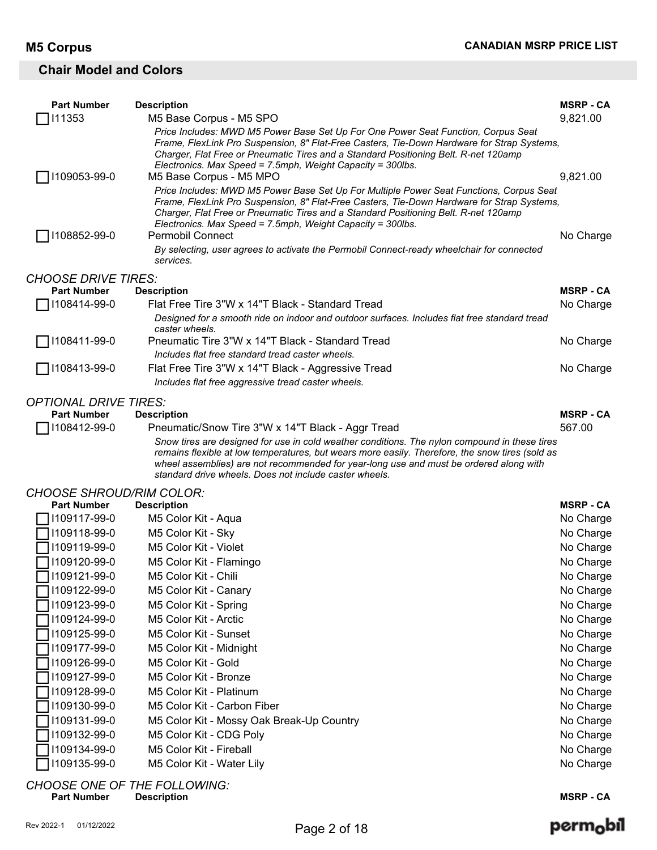#### **Chair Model and Colors**

| <b>Part Number</b>                  | <b>Description</b>                                                                                                                                                                                                                                                                                                                                   | <b>MSRP - CA</b> |
|-------------------------------------|------------------------------------------------------------------------------------------------------------------------------------------------------------------------------------------------------------------------------------------------------------------------------------------------------------------------------------------------------|------------------|
| 111353                              | M5 Base Corpus - M5 SPO                                                                                                                                                                                                                                                                                                                              | 9,821.00         |
|                                     | Price Includes: MWD M5 Power Base Set Up For One Power Seat Function, Corpus Seat<br>Frame, FlexLink Pro Suspension, 8" Flat-Free Casters, Tie-Down Hardware for Strap Systems,                                                                                                                                                                      |                  |
|                                     | Charger, Flat Free or Pneumatic Tires and a Standard Positioning Belt. R-net 120amp<br>Electronics. Max Speed = 7.5mph, Weight Capacity = 300lbs.                                                                                                                                                                                                    |                  |
| 1109053-99-0                        | M5 Base Corpus - M5 MPO                                                                                                                                                                                                                                                                                                                              | 9,821.00         |
|                                     | Price Includes: MWD M5 Power Base Set Up For Multiple Power Seat Functions, Corpus Seat<br>Frame, FlexLink Pro Suspension, 8" Flat-Free Casters, Tie-Down Hardware for Strap Systems,<br>Charger, Flat Free or Pneumatic Tires and a Standard Positioning Belt. R-net 120amp<br>Electronics. Max Speed = 7.5mph, Weight Capacity = 300lbs.           |                  |
| 1108852-99-0                        | <b>Permobil Connect</b>                                                                                                                                                                                                                                                                                                                              | No Charge        |
|                                     | By selecting, user agrees to activate the Permobil Connect-ready wheelchair for connected<br>services.                                                                                                                                                                                                                                               |                  |
| <b>CHOOSE DRIVE TIRES:</b>          |                                                                                                                                                                                                                                                                                                                                                      |                  |
| <b>Part Number</b>                  | <b>Description</b>                                                                                                                                                                                                                                                                                                                                   | <b>MSRP - CA</b> |
| 1108414-99-0                        | Flat Free Tire 3"W x 14"T Black - Standard Tread                                                                                                                                                                                                                                                                                                     | No Charge        |
|                                     | Designed for a smooth ride on indoor and outdoor surfaces. Includes flat free standard tread<br>caster wheels.                                                                                                                                                                                                                                       |                  |
| 1108411-99-0                        | Pneumatic Tire 3"W x 14"T Black - Standard Tread                                                                                                                                                                                                                                                                                                     | No Charge        |
|                                     | Includes flat free standard tread caster wheels.                                                                                                                                                                                                                                                                                                     |                  |
| 1108413-99-0                        | Flat Free Tire 3"W x 14"T Black - Aggressive Tread                                                                                                                                                                                                                                                                                                   | No Charge        |
|                                     | Includes flat free aggressive tread caster wheels.                                                                                                                                                                                                                                                                                                   |                  |
| <b>OPTIONAL DRIVE TIRES:</b>        |                                                                                                                                                                                                                                                                                                                                                      |                  |
| <b>Part Number</b>                  | <b>Description</b>                                                                                                                                                                                                                                                                                                                                   | <b>MSRP - CA</b> |
| 1108412-99-0                        | Pneumatic/Snow Tire 3"W x 14"T Black - Aggr Tread                                                                                                                                                                                                                                                                                                    | 567.00           |
|                                     | Snow tires are designed for use in cold weather conditions. The nylon compound in these tires<br>remains flexible at low temperatures, but wears more easily. Therefore, the snow tires (sold as<br>wheel assemblies) are not recommended for year-long use and must be ordered along with<br>standard drive wheels. Does not include caster wheels. |                  |
| <b>CHOOSE SHROUD/RIM COLOR:</b>     |                                                                                                                                                                                                                                                                                                                                                      |                  |
| <b>Part Number</b>                  | <b>Description</b>                                                                                                                                                                                                                                                                                                                                   | <b>MSRP - CA</b> |
| 1109117-99-0                        | M5 Color Kit - Aqua                                                                                                                                                                                                                                                                                                                                  | No Charge        |
| 1109118-99-0                        | M5 Color Kit - Sky                                                                                                                                                                                                                                                                                                                                   | No Charge        |
| 1109119-99-0                        | M5 Color Kit - Violet                                                                                                                                                                                                                                                                                                                                | No Charge        |
| 1109120-99-0                        | M5 Color Kit - Flamingo                                                                                                                                                                                                                                                                                                                              | No Charge        |
| $\Box$ 1109121-99-0                 | M5 Color Kit - Chili                                                                                                                                                                                                                                                                                                                                 | No Charge        |
| 1109122-99-0                        | M5 Color Kit - Canary                                                                                                                                                                                                                                                                                                                                | No Charge        |
| 1109123-99-0                        | M5 Color Kit - Spring                                                                                                                                                                                                                                                                                                                                | No Charge        |
| 1109124-99-0                        | M5 Color Kit - Arctic                                                                                                                                                                                                                                                                                                                                | No Charge        |
| 1109125-99-0                        | M5 Color Kit - Sunset                                                                                                                                                                                                                                                                                                                                | No Charge        |
| 1109177-99-0                        | M5 Color Kit - Midnight                                                                                                                                                                                                                                                                                                                              | No Charge        |
| 1109126-99-0                        | M5 Color Kit - Gold                                                                                                                                                                                                                                                                                                                                  | No Charge        |
| 1109127-99-0                        | M5 Color Kit - Bronze                                                                                                                                                                                                                                                                                                                                | No Charge        |
| 1109128-99-0                        | M5 Color Kit - Platinum                                                                                                                                                                                                                                                                                                                              | No Charge        |
| 1109130-99-0                        | M5 Color Kit - Carbon Fiber                                                                                                                                                                                                                                                                                                                          | No Charge        |
| 1109131-99-0                        | M5 Color Kit - Mossy Oak Break-Up Country                                                                                                                                                                                                                                                                                                            | No Charge        |
| 1109132-99-0                        | M5 Color Kit - CDG Poly                                                                                                                                                                                                                                                                                                                              | No Charge        |
| 1109134-99-0                        | M5 Color Kit - Fireball                                                                                                                                                                                                                                                                                                                              | No Charge        |
| 1109135-99-0                        | M5 Color Kit - Water Lily                                                                                                                                                                                                                                                                                                                            | No Charge        |
| <b>CHOOSE ONE OF THE FOLLOWING:</b> |                                                                                                                                                                                                                                                                                                                                                      |                  |

**Part Number Description MSRP - CA**

# perm<sub>o</sub>bil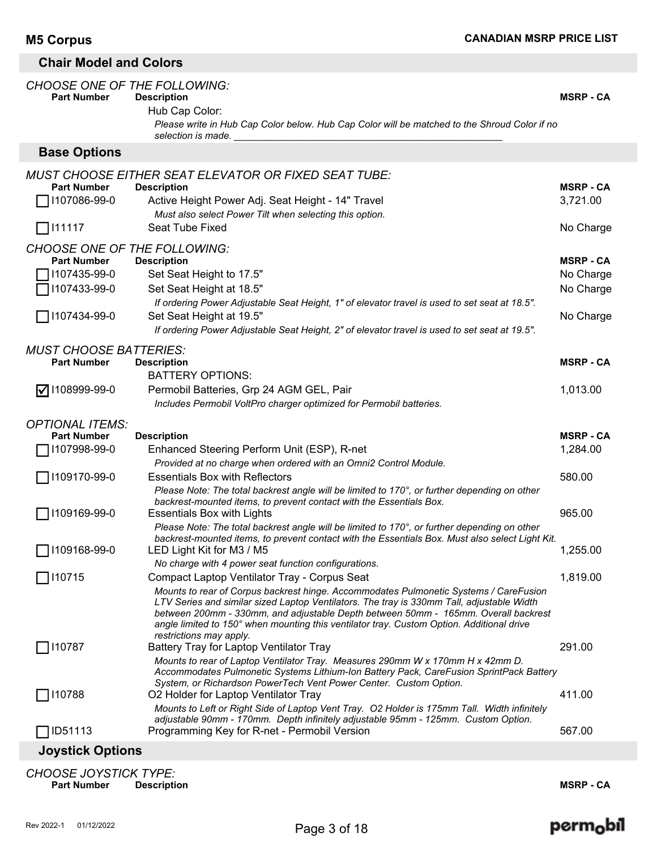### **Chair Model and Colors**

| <b>CHOOSE ONE OF THE FOLLOWING:</b><br><b>Part Number</b> | <b>Description</b><br>Hub Cap Color:<br>Please write in Hub Cap Color below. Hub Cap Color will be matched to the Shroud Color if no<br>selection is made.                                      | <b>MSRP - CA</b> |
|-----------------------------------------------------------|-------------------------------------------------------------------------------------------------------------------------------------------------------------------------------------------------|------------------|
| <b>Base Options</b>                                       |                                                                                                                                                                                                 |                  |
|                                                           | <b>MUST CHOOSE EITHER SEAT ELEVATOR OR FIXED SEAT TUBE:</b>                                                                                                                                     |                  |
| <b>Part Number</b>                                        | <b>Description</b>                                                                                                                                                                              | <b>MSRP - CA</b> |
| 1107086-99-0                                              | Active Height Power Adj. Seat Height - 14" Travel<br>Must also select Power Tilt when selecting this option.                                                                                    | 3,721.00         |
| ヿ!11117                                                   | Seat Tube Fixed                                                                                                                                                                                 | No Charge        |
| <b>CHOOSE ONE OF THE FOLLOWING:</b>                       |                                                                                                                                                                                                 |                  |
| <b>Part Number</b>                                        | <b>Description</b>                                                                                                                                                                              | <b>MSRP - CA</b> |
| 1107435-99-0                                              | Set Seat Height to 17.5"                                                                                                                                                                        | No Charge        |
| 1107433-99-0                                              | Set Seat Height at 18.5"                                                                                                                                                                        | No Charge        |
|                                                           | If ordering Power Adjustable Seat Height, 1" of elevator travel is used to set seat at 18.5".                                                                                                   |                  |
| □ 1107434-99-0                                            | Set Seat Height at 19.5"                                                                                                                                                                        | No Charge        |
|                                                           | If ordering Power Adjustable Seat Height, 2" of elevator travel is used to set seat at 19.5".                                                                                                   |                  |
| <b>MUST CHOOSE BATTERIES:</b>                             |                                                                                                                                                                                                 |                  |
| <b>Part Number</b>                                        | <b>Description</b>                                                                                                                                                                              | <b>MSRP-CA</b>   |
|                                                           | <b>BATTERY OPTIONS:</b>                                                                                                                                                                         |                  |
| $\sqrt{ }$ 1108999-99-0                                   | Permobil Batteries, Grp 24 AGM GEL, Pair                                                                                                                                                        | 1,013.00         |
|                                                           | Includes Permobil VoltPro charger optimized for Permobil batteries.                                                                                                                             |                  |
| <b>OPTIONAL ITEMS:</b>                                    |                                                                                                                                                                                                 |                  |
| <b>Part Number</b>                                        | <b>Description</b>                                                                                                                                                                              | <b>MSRP - CA</b> |
| 1107998-99-0                                              | Enhanced Steering Perform Unit (ESP), R-net                                                                                                                                                     | 1,284.00         |
|                                                           | Provided at no charge when ordered with an Omni2 Control Module.                                                                                                                                |                  |
| 1109170-99-0                                              | <b>Essentials Box with Reflectors</b>                                                                                                                                                           | 580.00           |
|                                                           | Please Note: The total backrest angle will be limited to 170°, or further depending on other                                                                                                    |                  |
|                                                           | backrest-mounted items, to prevent contact with the Essentials Box.                                                                                                                             |                  |
| 1109169-99-0                                              | <b>Essentials Box with Lights</b>                                                                                                                                                               | 965.00           |
|                                                           | Please Note: The total backrest angle will be limited to 170°, or further depending on other<br>backrest-mounted items, to prevent contact with the Essentials Box. Must also select Light Kit. |                  |
| 1109168-99-0                                              | LED Light Kit for M3 / M5                                                                                                                                                                       | 1,255.00         |
|                                                           | No charge with 4 power seat function configurations.                                                                                                                                            |                  |
| 110715                                                    | Compact Laptop Ventilator Tray - Corpus Seat                                                                                                                                                    | 1,819.00         |
|                                                           | Mounts to rear of Corpus backrest hinge. Accommodates Pulmonetic Systems / CareFusion                                                                                                           |                  |
|                                                           | LTV Series and similar sized Laptop Ventilators. The tray is 330mm Tall, adjustable Width                                                                                                       |                  |
|                                                           | between 200mm - 330mm, and adjustable Depth between 50mm - 165mm. Overall backrest<br>angle limited to 150° when mounting this ventilator tray. Custom Option. Additional drive                 |                  |
|                                                           | restrictions may apply.                                                                                                                                                                         |                  |
| 110787                                                    | Battery Tray for Laptop Ventilator Tray                                                                                                                                                         | 291.00           |
|                                                           | Mounts to rear of Laptop Ventilator Tray. Measures 290mm W x 170mm H x 42mm D.                                                                                                                  |                  |
|                                                           | Accommodates Pulmonetic Systems Lithium-Ion Battery Pack, CareFusion SprintPack Battery                                                                                                         |                  |
|                                                           | System, or Richardson PowerTech Vent Power Center. Custom Option.                                                                                                                               |                  |
| 110788                                                    | O2 Holder for Laptop Ventilator Tray                                                                                                                                                            | 411.00           |
|                                                           | Mounts to Left or Right Side of Laptop Vent Tray. O2 Holder is 175mm Tall. Width infinitely<br>adjustable 90mm - 170mm. Depth infinitely adjustable 95mm - 125mm. Custom Option.                |                  |
| ID51113                                                   | Programming Key for R-net - Permobil Version                                                                                                                                                    | 567.00           |
|                                                           |                                                                                                                                                                                                 |                  |
| <b>Joystick Options</b>                                   |                                                                                                                                                                                                 |                  |

*CHOOSE JOYSTICK TYPE:* **Part Institute Controllering Controllering Controllering Controllering Controllering MSRP - CA**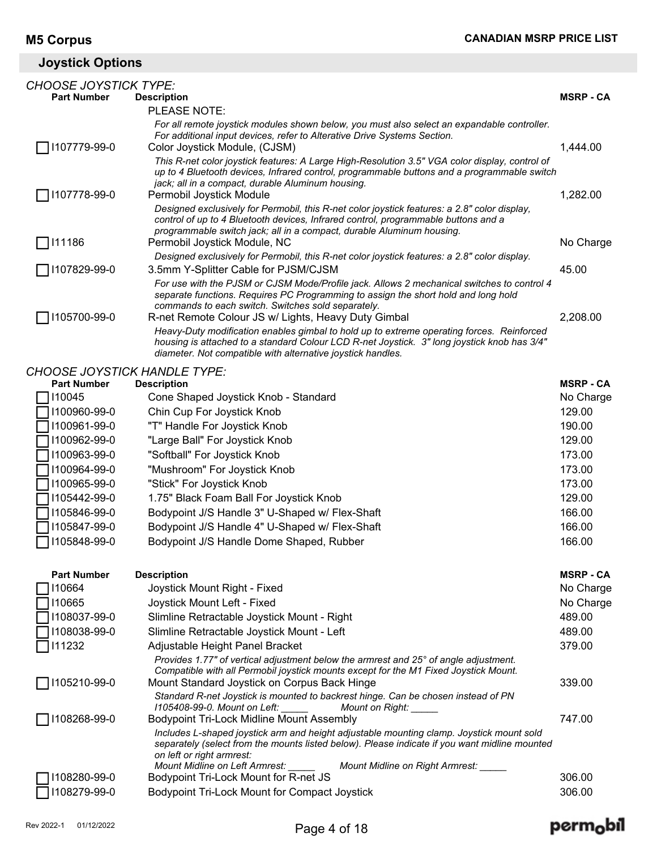### **Joystick Options**

| <b>CHOOSE JOYSTICK TYPE:</b>        |                                                                                                                                                                                          |                  |
|-------------------------------------|------------------------------------------------------------------------------------------------------------------------------------------------------------------------------------------|------------------|
| <b>Part Number</b>                  | <b>Description</b>                                                                                                                                                                       | <b>MSRP - CA</b> |
|                                     | PLEASE NOTE:                                                                                                                                                                             |                  |
|                                     | For all remote joystick modules shown below, you must also select an expandable controller.<br>For additional input devices, refer to Alterative Drive Systems Section.                  |                  |
| 1107779-99-0                        | Color Joystick Module, (CJSM)                                                                                                                                                            | 1,444.00         |
|                                     | This R-net color joystick features: A Large High-Resolution 3.5" VGA color display, control of                                                                                           |                  |
|                                     | up to 4 Bluetooth devices, Infrared control, programmable buttons and a programmable switch                                                                                              |                  |
| 1107778-99-0                        | jack; all in a compact, durable Aluminum housing.<br>Permobil Joystick Module                                                                                                            | 1,282.00         |
|                                     | Designed exclusively for Permobil, this R-net color joystick features: a 2.8" color display,                                                                                             |                  |
|                                     | control of up to 4 Bluetooth devices, Infrared control, programmable buttons and a                                                                                                       |                  |
|                                     | programmable switch jack; all in a compact, durable Aluminum housing.                                                                                                                    |                  |
| 111186                              | Permobil Joystick Module, NC                                                                                                                                                             | No Charge        |
| 1107829-99-0                        | Designed exclusively for Permobil, this R-net color joystick features: a 2.8" color display.<br>3.5mm Y-Splitter Cable for PJSM/CJSM                                                     | 45.00            |
|                                     | For use with the PJSM or CJSM Mode/Profile jack. Allows 2 mechanical switches to control 4                                                                                               |                  |
|                                     | separate functions. Requires PC Programming to assign the short hold and long hold                                                                                                       |                  |
|                                     | commands to each switch. Switches sold separately.                                                                                                                                       |                  |
| 1105700-99-0                        | R-net Remote Colour JS w/ Lights, Heavy Duty Gimbal                                                                                                                                      | 2,208.00         |
|                                     | Heavy-Duty modification enables gimbal to hold up to extreme operating forces. Reinforced<br>housing is attached to a standard Colour LCD R-net Joystick. 3" long joystick knob has 3/4" |                  |
|                                     | diameter. Not compatible with alternative joystick handles.                                                                                                                              |                  |
| <b>CHOOSE JOYSTICK HANDLE TYPE:</b> |                                                                                                                                                                                          |                  |
| <b>Part Number</b>                  | <b>Description</b>                                                                                                                                                                       | <b>MSRP-CA</b>   |
| 110045                              | Cone Shaped Joystick Knob - Standard                                                                                                                                                     | No Charge        |
| 1100960-99-0                        | Chin Cup For Joystick Knob                                                                                                                                                               | 129.00           |
| 1100961-99-0                        | "T" Handle For Joystick Knob                                                                                                                                                             | 190.00           |
| 1100962-99-0                        | "Large Ball" For Joystick Knob                                                                                                                                                           | 129.00           |
| 1100963-99-0                        | "Softball" For Joystick Knob                                                                                                                                                             | 173.00           |
| 1100964-99-0                        | "Mushroom" For Joystick Knob                                                                                                                                                             | 173.00           |
| 1100965-99-0                        | "Stick" For Joystick Knob                                                                                                                                                                | 173.00           |
| 1105442-99-0                        | 1.75" Black Foam Ball For Joystick Knob                                                                                                                                                  | 129.00           |
| 1105846-99-0                        | Bodypoint J/S Handle 3" U-Shaped w/ Flex-Shaft                                                                                                                                           | 166.00           |
| 1105847-99-0                        | Bodypoint J/S Handle 4" U-Shaped w/ Flex-Shaft                                                                                                                                           | 166.00           |
| 1105848-99-0                        | Bodypoint J/S Handle Dome Shaped, Rubber                                                                                                                                                 | 166.00           |
|                                     |                                                                                                                                                                                          |                  |
| <b>Part Number</b>                  | <b>Description</b>                                                                                                                                                                       | <b>MSRP - CA</b> |
| 110664                              | Joystick Mount Right - Fixed                                                                                                                                                             | No Charge        |
| 110665                              | Joystick Mount Left - Fixed                                                                                                                                                              | No Charge        |
| 1108037-99-0                        | Slimline Retractable Joystick Mount - Right                                                                                                                                              | 489.00           |
| 1108038-99-0                        | Slimline Retractable Joystick Mount - Left                                                                                                                                               | 489.00           |
| 111232                              | Adjustable Height Panel Bracket<br>Provides 1.77" of vertical adjustment below the armrest and 25° of angle adjustment.                                                                  | 379.00           |
|                                     | Compatible with all Permobil joystick mounts except for the M1 Fixed Joystick Mount.                                                                                                     |                  |
| 1105210-99-0                        | Mount Standard Joystick on Corpus Back Hinge                                                                                                                                             | 339.00           |
|                                     | Standard R-net Joystick is mounted to backrest hinge. Can be chosen instead of PN                                                                                                        |                  |
| 1108268-99-0                        | 1105408-99-0. Mount on Left:<br>Mount on Right: _____<br><b>Bodypoint Tri-Lock Midline Mount Assembly</b>                                                                                | 747.00           |
|                                     | Includes L-shaped joystick arm and height adjustable mounting clamp. Joystick mount sold                                                                                                 |                  |
|                                     | separately (select from the mounts listed below). Please indicate if you want midline mounted<br>on left or right armrest:                                                               |                  |
|                                     | Mount Midline on Left Armrest:<br>Mount Midline on Right Armrest: _____                                                                                                                  |                  |
| 108280-99-0                         | Bodypoint Tri-Lock Mount for R-net JS                                                                                                                                                    | 306.00           |
| 108279-99-0                         | Bodypoint Tri-Lock Mount for Compact Joystick                                                                                                                                            | 306.00           |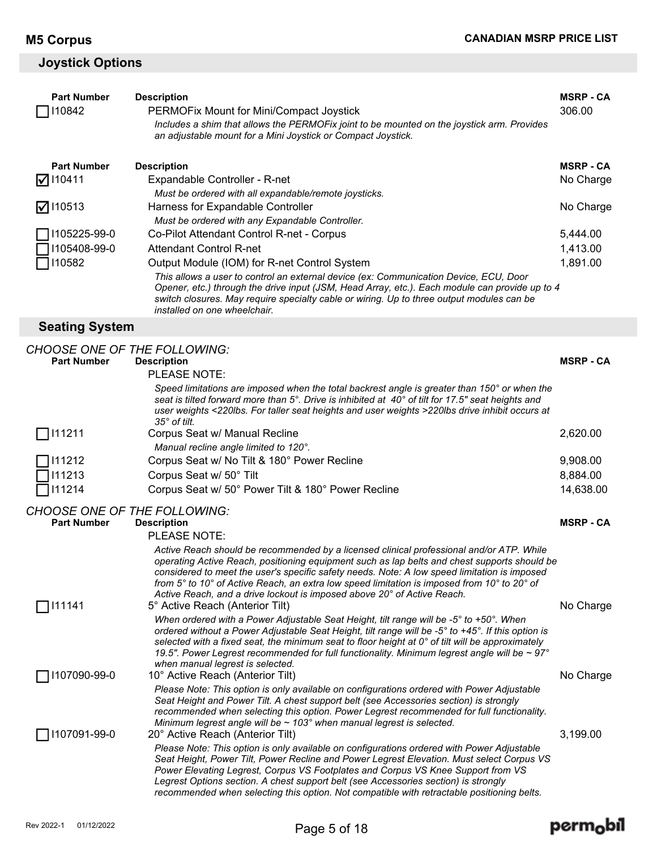#### **Joystick Options**

| <b>Part Number</b><br>110842                              | <b>Description</b><br>PERMOFix Mount for Mini/Compact Joystick                                                                                                                                                                                                                                                                                                                                                                                                                                        | <b>MSRP - CA</b><br>306.00 |
|-----------------------------------------------------------|-------------------------------------------------------------------------------------------------------------------------------------------------------------------------------------------------------------------------------------------------------------------------------------------------------------------------------------------------------------------------------------------------------------------------------------------------------------------------------------------------------|----------------------------|
|                                                           | Includes a shim that allows the PERMOFix joint to be mounted on the joystick arm. Provides                                                                                                                                                                                                                                                                                                                                                                                                            |                            |
|                                                           | an adjustable mount for a Mini Joystick or Compact Joystick.                                                                                                                                                                                                                                                                                                                                                                                                                                          |                            |
| <b>Part Number</b>                                        | <b>Description</b>                                                                                                                                                                                                                                                                                                                                                                                                                                                                                    | <b>MSRP - CA</b>           |
| 110411<br>Ⅳ                                               | Expandable Controller - R-net                                                                                                                                                                                                                                                                                                                                                                                                                                                                         | No Charge                  |
|                                                           | Must be ordered with all expandable/remote joysticks.                                                                                                                                                                                                                                                                                                                                                                                                                                                 |                            |
| 110513                                                    | Harness for Expandable Controller                                                                                                                                                                                                                                                                                                                                                                                                                                                                     | No Charge                  |
|                                                           | Must be ordered with any Expandable Controller.                                                                                                                                                                                                                                                                                                                                                                                                                                                       |                            |
| 1105225-99-0                                              | Co-Pilot Attendant Control R-net - Corpus                                                                                                                                                                                                                                                                                                                                                                                                                                                             | 5,444.00                   |
| 1105408-99-0                                              | <b>Attendant Control R-net</b>                                                                                                                                                                                                                                                                                                                                                                                                                                                                        | 1,413.00                   |
| 110582                                                    | Output Module (IOM) for R-net Control System                                                                                                                                                                                                                                                                                                                                                                                                                                                          | 1,891.00                   |
|                                                           | This allows a user to control an external device (ex: Communication Device, ECU, Door<br>Opener, etc.) through the drive input (JSM, Head Array, etc.). Each module can provide up to 4<br>switch closures. May require specialty cable or wiring. Up to three output modules can be<br>installed on one wheelchair.                                                                                                                                                                                  |                            |
| <b>Seating System</b>                                     |                                                                                                                                                                                                                                                                                                                                                                                                                                                                                                       |                            |
|                                                           |                                                                                                                                                                                                                                                                                                                                                                                                                                                                                                       |                            |
| CHOOSE ONE OF THE FOLLOWING:                              |                                                                                                                                                                                                                                                                                                                                                                                                                                                                                                       |                            |
| <b>Part Number</b>                                        | <b>Description</b><br>PLEASE NOTE:                                                                                                                                                                                                                                                                                                                                                                                                                                                                    | <b>MSRP-CA</b>             |
|                                                           |                                                                                                                                                                                                                                                                                                                                                                                                                                                                                                       |                            |
|                                                           | Speed limitations are imposed when the total backrest angle is greater than 150° or when the<br>seat is tilted forward more than 5°. Drive is inhibited at 40° of tilt for 17.5" seat heights and<br>user weights <220lbs. For taller seat heights and user weights >220lbs drive inhibit occurs at<br>35° of tilt.                                                                                                                                                                                   |                            |
| 111211                                                    | Corpus Seat w/ Manual Recline                                                                                                                                                                                                                                                                                                                                                                                                                                                                         | 2,620.00                   |
|                                                           | Manual recline angle limited to 120°.                                                                                                                                                                                                                                                                                                                                                                                                                                                                 |                            |
| 111212                                                    | Corpus Seat w/ No Tilt & 180° Power Recline                                                                                                                                                                                                                                                                                                                                                                                                                                                           | 9,908.00                   |
| 111213                                                    | Corpus Seat w/ 50° Tilt                                                                                                                                                                                                                                                                                                                                                                                                                                                                               | 8,884.00                   |
| 111214                                                    | Corpus Seat w/ 50° Power Tilt & 180° Power Recline                                                                                                                                                                                                                                                                                                                                                                                                                                                    | 14,638.00                  |
|                                                           |                                                                                                                                                                                                                                                                                                                                                                                                                                                                                                       |                            |
| <b>CHOOSE ONE OF THE FOLLOWING:</b><br><b>Part Number</b> |                                                                                                                                                                                                                                                                                                                                                                                                                                                                                                       | <b>MSRP - CA</b>           |
|                                                           | <b>Description</b><br>PLEASE NOTE:                                                                                                                                                                                                                                                                                                                                                                                                                                                                    |                            |
| 111141                                                    | Active Reach should be recommended by a licensed clinical professional and/or ATP. While<br>operating Active Reach, positioning equipment such as lap belts and chest supports should be<br>considered to meet the user's specific safety needs. Note: A low speed limitation is imposed<br>from 5° to 10° of Active Reach, an extra low speed limitation is imposed from 10° to 20° of<br>Active Reach, and a drive lockout is imposed above 20° of Active Reach.<br>5° Active Reach (Anterior Tilt) | No Charge                  |
|                                                           | When ordered with a Power Adjustable Seat Height, tilt range will be -5° to +50°. When<br>ordered without a Power Adjustable Seat Height, tilt range will be -5° to +45°. If this option is<br>selected with a fixed seat, the minimum seat to floor height at $0^\circ$ of tilt will be approximately<br>19.5". Power Legrest recommended for full functionality. Minimum legrest angle will be ~ 97°<br>when manual legrest is selected.                                                            |                            |
| 1107090-99-0                                              | 10° Active Reach (Anterior Tilt)                                                                                                                                                                                                                                                                                                                                                                                                                                                                      | No Charge                  |
|                                                           | Please Note: This option is only available on configurations ordered with Power Adjustable<br>Seat Height and Power Tilt. A chest support belt (see Accessories section) is strongly<br>recommended when selecting this option. Power Legrest recommended for full functionality.<br>Minimum legrest angle will be $\sim$ 103° when manual legrest is selected.                                                                                                                                       |                            |
| 1107091-99-0                                              | 20° Active Reach (Anterior Tilt)                                                                                                                                                                                                                                                                                                                                                                                                                                                                      | 3,199.00                   |

*Please Note: This option is only available on configurations ordered with Power Adjustable Seat Height, Power Tilt, Power Recline and Power Legrest Elevation. Must select Corpus VS Power Elevating Legrest, Corpus VS Footplates and Corpus VS Knee Support from VS Legrest Options section. A chest support belt (see Accessories section) is strongly recommended when selecting this option. Not compatible with retractable positioning belts.*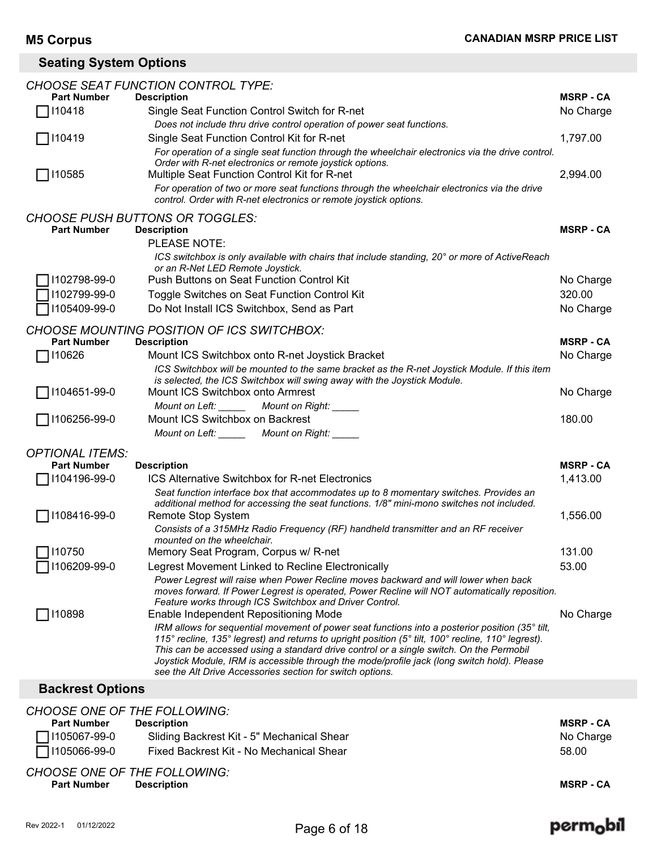### **Seating System Options**

|                         | <b>CHOOSE SEAT FUNCTION CONTROL TYPE:</b>                                                                                                                                                             |                  |
|-------------------------|-------------------------------------------------------------------------------------------------------------------------------------------------------------------------------------------------------|------------------|
| <b>Part Number</b>      | <b>Description</b>                                                                                                                                                                                    | <b>MSRP - CA</b> |
| 110418                  | Single Seat Function Control Switch for R-net                                                                                                                                                         | No Charge        |
|                         | Does not include thru drive control operation of power seat functions.                                                                                                                                |                  |
| 110419                  | Single Seat Function Control Kit for R-net                                                                                                                                                            | 1,797.00         |
|                         | For operation of a single seat function through the wheelchair electronics via the drive control.                                                                                                     |                  |
| □ 110585                | Order with R-net electronics or remote joystick options.<br>Multiple Seat Function Control Kit for R-net                                                                                              | 2,994.00         |
|                         | For operation of two or more seat functions through the wheelchair electronics via the drive                                                                                                          |                  |
|                         | control. Order with R-net electronics or remote joystick options.                                                                                                                                     |                  |
|                         | <b>CHOOSE PUSH BUTTONS OR TOGGLES:</b>                                                                                                                                                                |                  |
| <b>Part Number</b>      | <b>Description</b>                                                                                                                                                                                    | <b>MSRP - CA</b> |
|                         | PLEASE NOTE:                                                                                                                                                                                          |                  |
|                         | ICS switchbox is only available with chairs that include standing, 20° or more of ActiveReach<br>or an R-Net LED Remote Joystick.                                                                     |                  |
| 1102798-99-0            | Push Buttons on Seat Function Control Kit                                                                                                                                                             | No Charge        |
| 1102799-99-0            | Toggle Switches on Seat Function Control Kit                                                                                                                                                          | 320.00           |
| 1105409-99-0            | Do Not Install ICS Switchbox, Send as Part                                                                                                                                                            | No Charge        |
|                         |                                                                                                                                                                                                       |                  |
|                         | CHOOSE MOUNTING POSITION OF ICS SWITCHBOX:                                                                                                                                                            |                  |
| <b>Part Number</b>      | <b>Description</b>                                                                                                                                                                                    | <b>MSRP - CA</b> |
| 110626                  | Mount ICS Switchbox onto R-net Joystick Bracket                                                                                                                                                       | No Charge        |
|                         | ICS Switchbox will be mounted to the same bracket as the R-net Joystick Module. If this item<br>is selected, the ICS Switchbox will swing away with the Joystick Module.                              |                  |
| 1104651-99-0            | Mount ICS Switchbox onto Armrest                                                                                                                                                                      | No Charge        |
|                         | Mount on Left: _____<br>Mount on Right: _____                                                                                                                                                         |                  |
| □ 1106256-99-0          | Mount ICS Switchbox on Backrest                                                                                                                                                                       | 180.00           |
|                         | Mount on Left: _______ Mount on Right: _____                                                                                                                                                          |                  |
|                         |                                                                                                                                                                                                       |                  |
| <b>OPTIONAL ITEMS:</b>  |                                                                                                                                                                                                       |                  |
| <b>Part Number</b>      | <b>Description</b>                                                                                                                                                                                    | <b>MSRP - CA</b> |
| 1104196-99-0            | ICS Alternative Switchbox for R-net Electronics                                                                                                                                                       | 1,413.00         |
|                         | Seat function interface box that accommodates up to 8 momentary switches. Provides an<br>additional method for accessing the seat functions. 1/8" mini-mono switches not included.                    |                  |
| 1108416-99-0            | Remote Stop System                                                                                                                                                                                    | 1,556.00         |
|                         | Consists of a 315MHz Radio Frequency (RF) handheld transmitter and an RF receiver                                                                                                                     |                  |
|                         | mounted on the wheelchair.                                                                                                                                                                            |                  |
| □ 110750                | Memory Seat Program, Corpus w/ R-net                                                                                                                                                                  | 131.00           |
| 1106209-99-0            | Legrest Movement Linked to Recline Electronically                                                                                                                                                     | 53.00            |
|                         | Power Legrest will raise when Power Recline moves backward and will lower when back                                                                                                                   |                  |
|                         | moves forward. If Power Legrest is operated, Power Recline will NOT automatically reposition.                                                                                                         |                  |
|                         | Feature works through ICS Switchbox and Driver Control.                                                                                                                                               |                  |
| 110898                  | Enable Independent Repositioning Mode                                                                                                                                                                 | No Charge        |
|                         | IRM allows for sequential movement of power seat functions into a posterior position (35° tilt,<br>115° recline, 135° legrest) and returns to upright position (5° tilt, 100° recline, 110° legrest). |                  |
|                         | This can be accessed using a standard drive control or a single switch. On the Permobil                                                                                                               |                  |
|                         | Joystick Module, IRM is accessible through the mode/profile jack (long switch hold). Please                                                                                                           |                  |
|                         | see the Alt Drive Accessories section for switch options.                                                                                                                                             |                  |
| <b>Backrest Options</b> |                                                                                                                                                                                                       |                  |
|                         | <b>CHOOSE ONE OF THE FOLLOWING:</b>                                                                                                                                                                   |                  |

| <b>Part Number</b>  | <b>Description</b>                         | <b>MSRP - CA</b> |
|---------------------|--------------------------------------------|------------------|
| $\Box$ I105067-99-0 | Sliding Backrest Kit - 5" Mechanical Shear | No Charge        |
| $\Box$ 1105066-99-0 | Fixed Backrest Kit - No Mechanical Shear   | 58.00            |
|                     | <b>CHOOSE ONE OF THE FOLLOWING:</b>        |                  |

| Part Number | Description |  | <b>MSRP - CA</b><br>_____ |
|-------------|-------------|--|---------------------------|
|             |             |  |                           |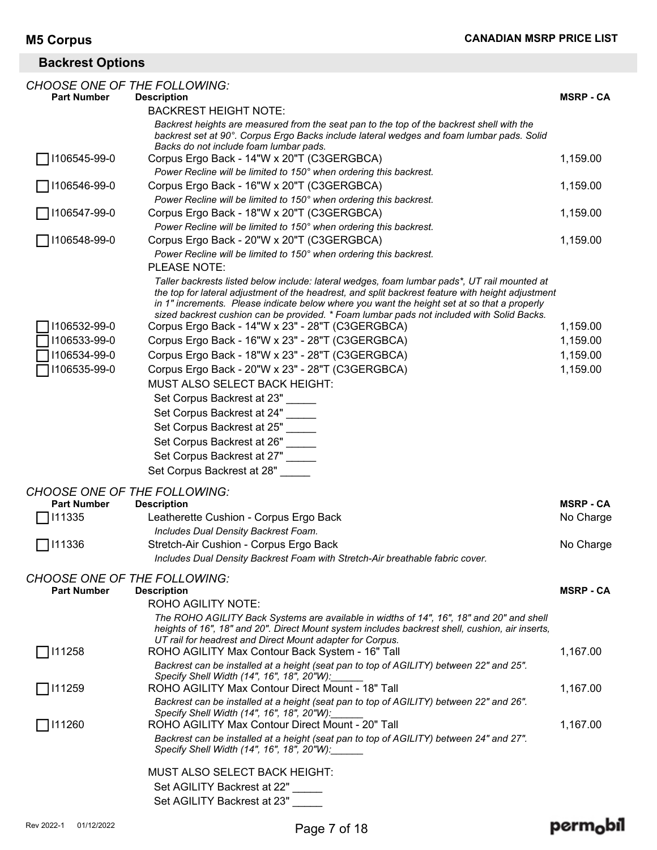### **Backrest Options**

|                    | <b>CHOOSE ONE OF THE FOLLOWING:</b>                                                                                                                                                                                                                                                                                                                                                           |                  |
|--------------------|-----------------------------------------------------------------------------------------------------------------------------------------------------------------------------------------------------------------------------------------------------------------------------------------------------------------------------------------------------------------------------------------------|------------------|
| <b>Part Number</b> | <b>Description</b>                                                                                                                                                                                                                                                                                                                                                                            | <b>MSRP - CA</b> |
|                    | <b>BACKREST HEIGHT NOTE:</b>                                                                                                                                                                                                                                                                                                                                                                  |                  |
|                    | Backrest heights are measured from the seat pan to the top of the backrest shell with the<br>backrest set at 90°. Corpus Ergo Backs include lateral wedges and foam lumbar pads. Solid<br>Backs do not include foam lumbar pads.                                                                                                                                                              |                  |
| 1106545-99-0       | Corpus Ergo Back - 14"W x 20"T (C3GERGBCA)                                                                                                                                                                                                                                                                                                                                                    | 1,159.00         |
|                    | Power Recline will be limited to 150° when ordering this backrest.                                                                                                                                                                                                                                                                                                                            |                  |
| 1106546-99-0       | Corpus Ergo Back - 16"W x 20"T (C3GERGBCA)                                                                                                                                                                                                                                                                                                                                                    | 1,159.00         |
|                    | Power Recline will be limited to 150° when ordering this backrest.                                                                                                                                                                                                                                                                                                                            |                  |
| 1106547-99-0       | Corpus Ergo Back - 18"W x 20"T (C3GERGBCA)                                                                                                                                                                                                                                                                                                                                                    | 1,159.00         |
|                    | Power Recline will be limited to 150° when ordering this backrest.                                                                                                                                                                                                                                                                                                                            |                  |
| 1106548-99-0       | Corpus Ergo Back - 20"W x 20"T (C3GERGBCA)                                                                                                                                                                                                                                                                                                                                                    | 1,159.00         |
|                    | Power Recline will be limited to 150° when ordering this backrest.<br>PLEASE NOTE:                                                                                                                                                                                                                                                                                                            |                  |
| 1106532-99-0       | Taller backrests listed below include: lateral wedges, foam lumbar pads*, UT rail mounted at<br>the top for lateral adjustment of the headrest, and split backrest feature with height adjustment<br>in 1" increments. Please indicate below where you want the height set at so that a properly<br>sized backrest cushion can be provided. * Foam lumbar pads not included with Solid Backs. |                  |
| 1106533-99-0       | Corpus Ergo Back - 14"W x 23" - 28"T (C3GERGBCA)                                                                                                                                                                                                                                                                                                                                              | 1,159.00         |
|                    | Corpus Ergo Back - 16"W x 23" - 28"T (C3GERGBCA)                                                                                                                                                                                                                                                                                                                                              | 1,159.00         |
| 1106534-99-0       | Corpus Ergo Back - 18"W x 23" - 28"T (C3GERGBCA)                                                                                                                                                                                                                                                                                                                                              | 1,159.00         |
| 1106535-99-0       | Corpus Ergo Back - 20"W x 23" - 28"T (C3GERGBCA)<br>MUST ALSO SELECT BACK HEIGHT:                                                                                                                                                                                                                                                                                                             | 1,159.00         |
|                    | Set Corpus Backrest at 23"                                                                                                                                                                                                                                                                                                                                                                    |                  |
|                    | Set Corpus Backrest at 24"                                                                                                                                                                                                                                                                                                                                                                    |                  |
|                    | Set Corpus Backrest at 25"                                                                                                                                                                                                                                                                                                                                                                    |                  |
|                    | Set Corpus Backrest at 26"                                                                                                                                                                                                                                                                                                                                                                    |                  |
|                    | Set Corpus Backrest at 27"                                                                                                                                                                                                                                                                                                                                                                    |                  |
|                    | Set Corpus Backrest at 28"                                                                                                                                                                                                                                                                                                                                                                    |                  |
|                    |                                                                                                                                                                                                                                                                                                                                                                                               |                  |
| <b>Part Number</b> | <b>CHOOSE ONE OF THE FOLLOWING:</b><br><b>Description</b>                                                                                                                                                                                                                                                                                                                                     | <b>MSRP-CA</b>   |
| 111335             | Leatherette Cushion - Corpus Ergo Back                                                                                                                                                                                                                                                                                                                                                        | No Charge        |
|                    | Includes Dual Density Backrest Foam.                                                                                                                                                                                                                                                                                                                                                          |                  |
| 111336             | Stretch-Air Cushion - Corpus Ergo Back                                                                                                                                                                                                                                                                                                                                                        | No Charge        |
|                    | Includes Dual Density Backrest Foam with Stretch-Air breathable fabric cover.                                                                                                                                                                                                                                                                                                                 |                  |
|                    |                                                                                                                                                                                                                                                                                                                                                                                               |                  |
| <b>Part Number</b> | <b>CHOOSE ONE OF THE FOLLOWING:</b><br><b>Description</b>                                                                                                                                                                                                                                                                                                                                     | <b>MSRP - CA</b> |
|                    | ROHO AGILITY NOTE:                                                                                                                                                                                                                                                                                                                                                                            |                  |
|                    | The ROHO AGILITY Back Systems are available in widths of 14", 16", 18" and 20" and shell<br>heights of 16", 18" and 20". Direct Mount system includes backrest shell, cushion, air inserts,                                                                                                                                                                                                   |                  |
|                    | UT rail for headrest and Direct Mount adapter for Corpus.                                                                                                                                                                                                                                                                                                                                     |                  |
| 111258             | ROHO AGILITY Max Contour Back System - 16" Tall                                                                                                                                                                                                                                                                                                                                               | 1,167.00         |
|                    | Backrest can be installed at a height (seat pan to top of AGILITY) between 22" and 25".<br>Specify Shell Width (14", 16", 18", 20"W):                                                                                                                                                                                                                                                         |                  |
| 111259             | ROHO AGILITY Max Contour Direct Mount - 18" Tall                                                                                                                                                                                                                                                                                                                                              | 1,167.00         |
|                    | Backrest can be installed at a height (seat pan to top of AGILITY) between 22" and 26".<br>Specify Shell Width (14", 16", 18", 20"W):                                                                                                                                                                                                                                                         |                  |
| 111260             | ROHO AGILITY Max Contour Direct Mount - 20" Tall                                                                                                                                                                                                                                                                                                                                              | 1,167.00         |
|                    | Backrest can be installed at a height (seat pan to top of AGILITY) between 24" and 27".<br>Specify Shell Width (14", 16", 18", 20"W):                                                                                                                                                                                                                                                         |                  |
|                    | MUST ALSO SELECT BACK HEIGHT:                                                                                                                                                                                                                                                                                                                                                                 |                  |
|                    | Set AGILITY Backrest at 22"                                                                                                                                                                                                                                                                                                                                                                   |                  |
|                    | Set AGILITY Backrest at 23"                                                                                                                                                                                                                                                                                                                                                                   |                  |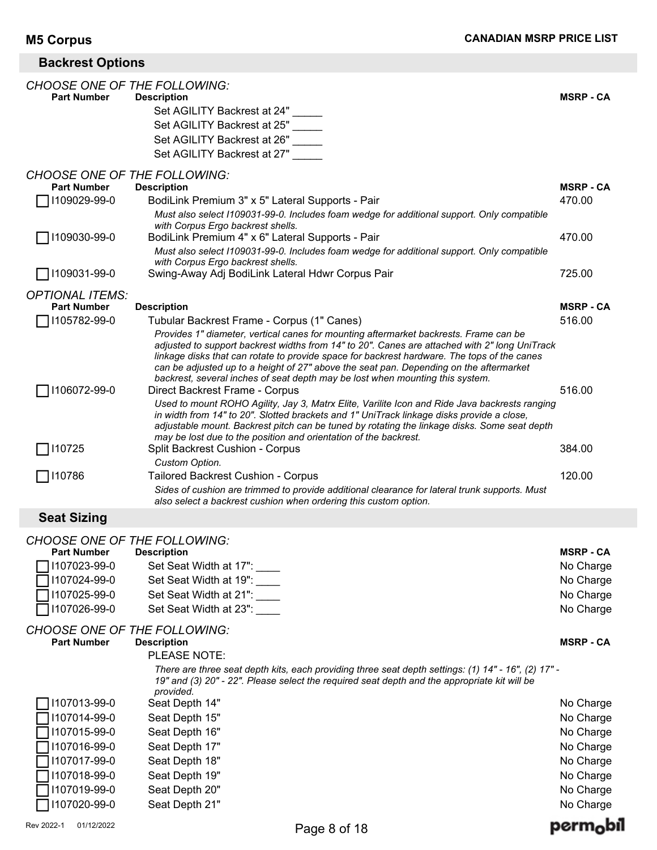### **Backrest Options**

| <b>CHOOSE ONE OF THE FOLLOWING:</b> |                                                                                                                                                                                                                                                                                                                                                                                                                                                                  |                  |
|-------------------------------------|------------------------------------------------------------------------------------------------------------------------------------------------------------------------------------------------------------------------------------------------------------------------------------------------------------------------------------------------------------------------------------------------------------------------------------------------------------------|------------------|
| <b>Part Number</b>                  | <b>Description</b>                                                                                                                                                                                                                                                                                                                                                                                                                                               | <b>MSRP - CA</b> |
|                                     | Set AGILITY Backrest at 24"                                                                                                                                                                                                                                                                                                                                                                                                                                      |                  |
|                                     | Set AGILITY Backrest at 25"                                                                                                                                                                                                                                                                                                                                                                                                                                      |                  |
|                                     | Set AGILITY Backrest at 26"                                                                                                                                                                                                                                                                                                                                                                                                                                      |                  |
|                                     | Set AGILITY Backrest at 27"                                                                                                                                                                                                                                                                                                                                                                                                                                      |                  |
| <b>CHOOSE ONE OF THE FOLLOWING:</b> |                                                                                                                                                                                                                                                                                                                                                                                                                                                                  |                  |
| <b>Part Number</b>                  | <b>Description</b>                                                                                                                                                                                                                                                                                                                                                                                                                                               | <b>MSRP - CA</b> |
| 1109029-99-0                        | BodiLink Premium 3" x 5" Lateral Supports - Pair                                                                                                                                                                                                                                                                                                                                                                                                                 | 470.00           |
|                                     | Must also select I109031-99-0. Includes foam wedge for additional support. Only compatible<br>with Corpus Ergo backrest shells.                                                                                                                                                                                                                                                                                                                                  |                  |
| 1109030-99-0                        | BodiLink Premium 4" x 6" Lateral Supports - Pair                                                                                                                                                                                                                                                                                                                                                                                                                 | 470.00           |
|                                     | Must also select I109031-99-0. Includes foam wedge for additional support. Only compatible<br>with Corpus Ergo backrest shells.                                                                                                                                                                                                                                                                                                                                  |                  |
| 1109031-99-0                        | Swing-Away Adj BodiLink Lateral Hdwr Corpus Pair                                                                                                                                                                                                                                                                                                                                                                                                                 | 725.00           |
| <b>OPTIONAL ITEMS:</b>              |                                                                                                                                                                                                                                                                                                                                                                                                                                                                  |                  |
| <b>Part Number</b>                  | <b>Description</b>                                                                                                                                                                                                                                                                                                                                                                                                                                               | <b>MSRP - CA</b> |
| 1105782-99-0                        | Tubular Backrest Frame - Corpus (1" Canes)                                                                                                                                                                                                                                                                                                                                                                                                                       | 516.00           |
|                                     | Provides 1" diameter, vertical canes for mounting aftermarket backrests. Frame can be<br>adjusted to support backrest widths from 14" to 20". Canes are attached with 2" long UniTrack<br>linkage disks that can rotate to provide space for backrest hardware. The tops of the canes<br>can be adjusted up to a height of 27" above the seat pan. Depending on the aftermarket<br>backrest, several inches of seat depth may be lost when mounting this system. |                  |
| 1106072-99-0                        | Direct Backrest Frame - Corpus                                                                                                                                                                                                                                                                                                                                                                                                                                   | 516.00           |
|                                     | Used to mount ROHO Agility, Jay 3, Matrx Elite, Varilite Icon and Ride Java backrests ranging<br>in width from 14" to 20". Slotted brackets and 1" UniTrack linkage disks provide a close,<br>adjustable mount. Backrest pitch can be tuned by rotating the linkage disks. Some seat depth<br>may be lost due to the position and orientation of the backrest.                                                                                                   |                  |
| $\Box$ 110725                       | <b>Split Backrest Cushion - Corpus</b>                                                                                                                                                                                                                                                                                                                                                                                                                           | 384.00           |
|                                     | Custom Option.                                                                                                                                                                                                                                                                                                                                                                                                                                                   |                  |
| 7110786                             | Tailored Backrest Cushion - Corpus                                                                                                                                                                                                                                                                                                                                                                                                                               | 120.00           |
|                                     | Sides of cushion are trimmed to provide additional clearance for lateral trunk supports. Must<br>also select a backrest cushion when ordering this custom option.                                                                                                                                                                                                                                                                                                |                  |
| <b>Seat Sizing</b>                  |                                                                                                                                                                                                                                                                                                                                                                                                                                                                  |                  |
|                                     |                                                                                                                                                                                                                                                                                                                                                                                                                                                                  |                  |

#### *CHOOSE ONE OF THE FOLLOWING:*

| <u>UITUUL UIL UI</u> |                                                                                                                                                                                                                  |                  |
|----------------------|------------------------------------------------------------------------------------------------------------------------------------------------------------------------------------------------------------------|------------------|
| <b>Part Number</b>   | <b>Description</b>                                                                                                                                                                                               | <b>MSRP - CA</b> |
| 1107023-99-0         | Set Seat Width at 17":                                                                                                                                                                                           | No Charge        |
| 1107024-99-0         | Set Seat Width at 19":                                                                                                                                                                                           | No Charge        |
| 1107025-99-0         | Set Seat Width at 21":                                                                                                                                                                                           | No Charge        |
| 1107026-99-0         | Set Seat Width at 23":                                                                                                                                                                                           | No Charge        |
|                      | <b>CHOOSE ONE OF THE FOLLOWING:</b>                                                                                                                                                                              |                  |
| <b>Part Number</b>   | <b>Description</b>                                                                                                                                                                                               | <b>MSRP - CA</b> |
|                      | PLEASE NOTE:                                                                                                                                                                                                     |                  |
|                      | - "There are three seat depth kits, each providing three seat depth settings: (1) 14" - 16", (2) 17<br>19" and (3) 20" - 22". Please select the required seat depth and the appropriate kit will be<br>provided. |                  |
| 1107013-99-0         | Seat Depth 14"                                                                                                                                                                                                   | No Charge        |
| 1107014-99-0         | Seat Depth 15"                                                                                                                                                                                                   | No Charge        |
|                      |                                                                                                                                                                                                                  |                  |

| 01/12/2022<br>Rev 2022-1 |                | Page 8 of 18 | perm <sub>o</sub> bil |
|--------------------------|----------------|--------------|-----------------------|
| 1107020-99-0             | Seat Depth 21" |              | No Charge             |
| ̄ 1107019-99-0           | Seat Depth 20" |              | No Charge             |
| ̄ 1107018-99-0           | Seat Depth 19" |              | No Charge             |
| ■ 1107017-99-0           | Seat Depth 18" |              | No Charge             |
| ヿ!107016-99-0            | Seat Depth 17" |              | No Charge             |
| ヿ!107015-99-0            | Seat Depth 16" |              | No Charge             |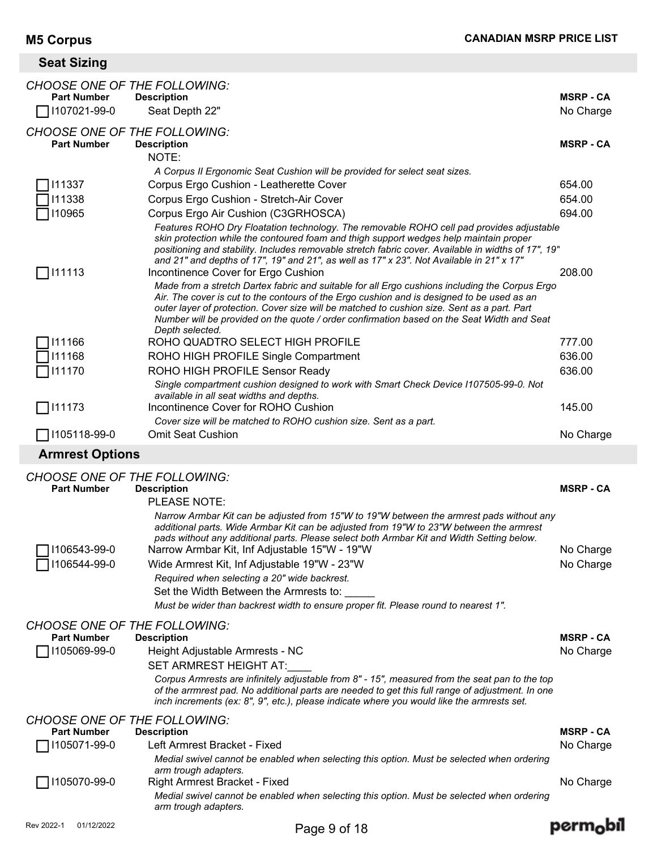# **Seat Sizing**

|                    | <i>CHOOSE ONE OF THE FOLLOWING:</i>                                                                                                                                                                                                                                                                                                                                                                          |                  |
|--------------------|--------------------------------------------------------------------------------------------------------------------------------------------------------------------------------------------------------------------------------------------------------------------------------------------------------------------------------------------------------------------------------------------------------------|------------------|
| <b>Part Number</b> | <b>Description</b>                                                                                                                                                                                                                                                                                                                                                                                           | <b>MSRP - CA</b> |
| 1107021-99-0       | Seat Depth 22"                                                                                                                                                                                                                                                                                                                                                                                               | No Charge        |
|                    | <b>CHOOSE ONE OF THE FOLLOWING:</b>                                                                                                                                                                                                                                                                                                                                                                          |                  |
| <b>Part Number</b> | <b>Description</b>                                                                                                                                                                                                                                                                                                                                                                                           | <b>MSRP-CA</b>   |
|                    | NOTE:                                                                                                                                                                                                                                                                                                                                                                                                        |                  |
|                    | A Corpus II Ergonomic Seat Cushion will be provided for select seat sizes.                                                                                                                                                                                                                                                                                                                                   |                  |
| 111337             | Corpus Ergo Cushion - Leatherette Cover                                                                                                                                                                                                                                                                                                                                                                      | 654.00           |
| 111338             | Corpus Ergo Cushion - Stretch-Air Cover                                                                                                                                                                                                                                                                                                                                                                      | 654.00           |
| 110965             | Corpus Ergo Air Cushion (C3GRHOSCA)                                                                                                                                                                                                                                                                                                                                                                          | 694.00           |
|                    | Features ROHO Dry Floatation technology. The removable ROHO cell pad provides adjustable<br>skin protection while the contoured foam and thigh support wedges help maintain proper<br>positioning and stability. Includes removable stretch fabric cover. Available in widths of 17", 19"<br>and 21" and depths of 17", 19" and 21", as well as 17" x 23". Not Available in 21" x 17"                        |                  |
| 111113             | Incontinence Cover for Ergo Cushion                                                                                                                                                                                                                                                                                                                                                                          | 208.00           |
|                    | Made from a stretch Dartex fabric and suitable for all Ergo cushions including the Corpus Ergo<br>Air. The cover is cut to the contours of the Ergo cushion and is designed to be used as an<br>outer layer of protection. Cover size will be matched to cushion size. Sent as a part. Part<br>Number will be provided on the quote / order confirmation based on the Seat Width and Seat<br>Depth selected. |                  |
| 111166             | ROHO QUADTRO SELECT HIGH PROFILE                                                                                                                                                                                                                                                                                                                                                                             | 777.00           |
| 111168             | ROHO HIGH PROFILE Single Compartment                                                                                                                                                                                                                                                                                                                                                                         | 636.00           |
| 111170             | ROHO HIGH PROFILE Sensor Ready                                                                                                                                                                                                                                                                                                                                                                               | 636.00           |
|                    | Single compartment cushion designed to work with Smart Check Device 1107505-99-0. Not<br>available in all seat widths and depths.                                                                                                                                                                                                                                                                            |                  |
| 111173             | Incontinence Cover for ROHO Cushion                                                                                                                                                                                                                                                                                                                                                                          | 145.00           |
| 1105118-99-0       | Cover size will be matched to ROHO cushion size. Sent as a part.<br><b>Omit Seat Cushion</b>                                                                                                                                                                                                                                                                                                                 | No Charge        |

### **Armrest Options**

|            |                              | <i>CHOOSE ONE OF THE FOLLOWING:</i>                                                                                                                                                                                                                                                                                                                                                                                                                                                                                                                                |                        |
|------------|------------------------------|--------------------------------------------------------------------------------------------------------------------------------------------------------------------------------------------------------------------------------------------------------------------------------------------------------------------------------------------------------------------------------------------------------------------------------------------------------------------------------------------------------------------------------------------------------------------|------------------------|
|            | <b>Part Number</b>           | <b>Description</b>                                                                                                                                                                                                                                                                                                                                                                                                                                                                                                                                                 | <b>MSRP - CA</b>       |
|            |                              | PLEASE NOTE:                                                                                                                                                                                                                                                                                                                                                                                                                                                                                                                                                       |                        |
|            | 1106543-99-0<br>1106544-99-0 | Narrow Armbar Kit can be adjusted from 15"W to 19"W between the armrest pads without any<br>additional parts. Wide Armbar Kit can be adjusted from 19"W to 23"W between the armrest<br>pads without any additional parts. Please select both Armbar Kit and Width Setting below.<br>Narrow Armbar Kit, Inf Adjustable 15"W - 19"W<br>Wide Armrest Kit, Inf Adjustable 19"W - 23"W<br>Required when selecting a 20" wide backrest.<br>Set the Width Between the Armrests to:<br>Must be wider than backrest width to ensure proper fit. Please round to nearest 1". | No Charge<br>No Charge |
|            |                              | <b>CHOOSE ONE OF THE FOLLOWING:</b>                                                                                                                                                                                                                                                                                                                                                                                                                                                                                                                                |                        |
|            | <b>Part Number</b>           | <b>Description</b>                                                                                                                                                                                                                                                                                                                                                                                                                                                                                                                                                 | <b>MSRP - CA</b>       |
|            | 1105069-99-0                 | Height Adjustable Armrests - NC                                                                                                                                                                                                                                                                                                                                                                                                                                                                                                                                    | No Charge              |
|            |                              | SET ARMREST HEIGHT AT:                                                                                                                                                                                                                                                                                                                                                                                                                                                                                                                                             |                        |
|            |                              | Corpus Armrests are infinitely adjustable from 8" - 15", measured from the seat pan to the top<br>of the arrmrest pad. No additional parts are needed to get this full range of adjustment. In one<br>inch increments (ex: 8", 9", etc.), please indicate where you would like the armrests set.                                                                                                                                                                                                                                                                   |                        |
|            |                              | <i>CHOOSE ONE OF THE FOLLOWING:</i>                                                                                                                                                                                                                                                                                                                                                                                                                                                                                                                                |                        |
|            | <b>Part Number</b>           | <b>Description</b>                                                                                                                                                                                                                                                                                                                                                                                                                                                                                                                                                 | <b>MSRP - CA</b>       |
|            | 1105071-99-0                 | Left Armrest Bracket - Fixed                                                                                                                                                                                                                                                                                                                                                                                                                                                                                                                                       | No Charge              |
|            |                              | Medial swivel cannot be enabled when selecting this option. Must be selected when ordering<br>arm trough adapters.                                                                                                                                                                                                                                                                                                                                                                                                                                                 |                        |
|            | 1105070-99-0                 | Right Armrest Bracket - Fixed                                                                                                                                                                                                                                                                                                                                                                                                                                                                                                                                      | No Charge              |
|            |                              | Medial swivel cannot be enabled when selecting this option. Must be selected when ordering<br>arm trough adapters.                                                                                                                                                                                                                                                                                                                                                                                                                                                 |                        |
| Rev 2022-1 | 01/12/2022                   | Page 9 of 18                                                                                                                                                                                                                                                                                                                                                                                                                                                                                                                                                       | perm <sub>o</sub>      |
|            |                              |                                                                                                                                                                                                                                                                                                                                                                                                                                                                                                                                                                    |                        |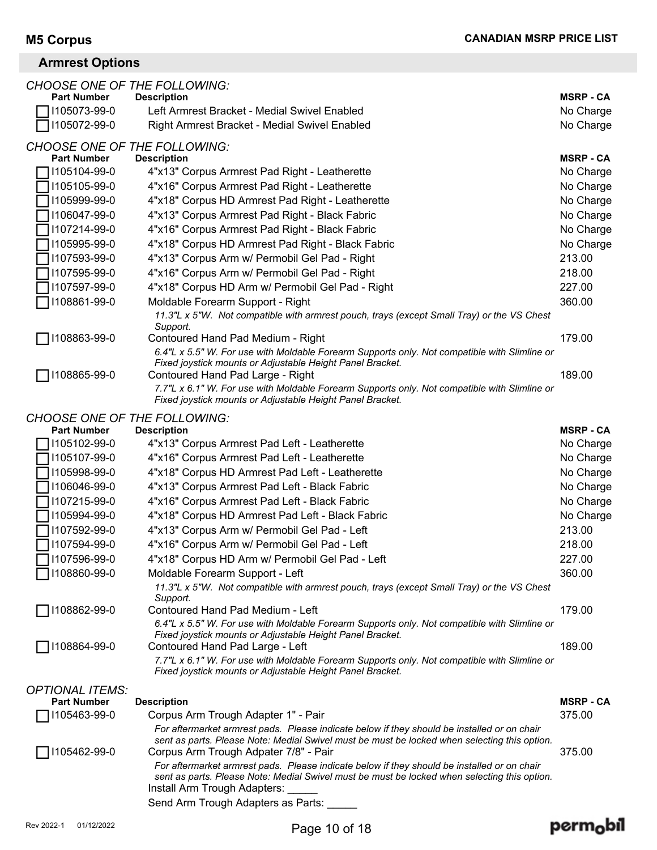### **Armrest Options**

| <b>CHOOSE ONE OF THE FOLLOWING:</b>                       |                                                                                                                                                                                                                                      |                  |
|-----------------------------------------------------------|--------------------------------------------------------------------------------------------------------------------------------------------------------------------------------------------------------------------------------------|------------------|
| <b>Part Number</b>                                        | <b>Description</b>                                                                                                                                                                                                                   | <b>MSRP - CA</b> |
| 1105073-99-0                                              | Left Armrest Bracket - Medial Swivel Enabled                                                                                                                                                                                         | No Charge        |
| 1105072-99-0                                              | Right Armrest Bracket - Medial Swivel Enabled                                                                                                                                                                                        | No Charge        |
| <b>CHOOSE ONE OF THE FOLLOWING:</b><br><b>Part Number</b> | <b>Description</b>                                                                                                                                                                                                                   | <b>MSRP - CA</b> |
| 1105104-99-0                                              | 4"x13" Corpus Armrest Pad Right - Leatherette                                                                                                                                                                                        | No Charge        |
| 1105105-99-0                                              | 4"x16" Corpus Armrest Pad Right - Leatherette                                                                                                                                                                                        | No Charge        |
| 1105999-99-0                                              | 4"x18" Corpus HD Armrest Pad Right - Leatherette                                                                                                                                                                                     | No Charge        |
| 1106047-99-0                                              | 4"x13" Corpus Armrest Pad Right - Black Fabric                                                                                                                                                                                       | No Charge        |
| 1107214-99-0                                              | 4"x16" Corpus Armrest Pad Right - Black Fabric                                                                                                                                                                                       | No Charge        |
| 1105995-99-0                                              | 4"x18" Corpus HD Armrest Pad Right - Black Fabric                                                                                                                                                                                    | No Charge        |
| 1107593-99-0                                              | 4"x13" Corpus Arm w/ Permobil Gel Pad - Right                                                                                                                                                                                        | 213.00           |
| 1107595-99-0                                              | 4"x16" Corpus Arm w/ Permobil Gel Pad - Right                                                                                                                                                                                        | 218.00           |
| 1107597-99-0                                              | 4"x18" Corpus HD Arm w/ Permobil Gel Pad - Right                                                                                                                                                                                     | 227.00           |
| 1108861-99-0                                              | Moldable Forearm Support - Right                                                                                                                                                                                                     | 360.00           |
|                                                           | 11.3"L x 5"W. Not compatible with armrest pouch, trays (except Small Tray) or the VS Chest<br>Support.                                                                                                                               |                  |
| 1108863-99-0                                              | Contoured Hand Pad Medium - Right                                                                                                                                                                                                    | 179.00           |
|                                                           | 6.4"L x 5.5" W. For use with Moldable Forearm Supports only. Not compatible with Slimline or                                                                                                                                         |                  |
|                                                           | Fixed joystick mounts or Adjustable Height Panel Bracket.                                                                                                                                                                            |                  |
| 1108865-99-0                                              | Contoured Hand Pad Large - Right                                                                                                                                                                                                     | 189.00           |
|                                                           | 7.7"L x 6.1" W. For use with Moldable Forearm Supports only. Not compatible with Slimline or<br>Fixed joystick mounts or Adjustable Height Panel Bracket.                                                                            |                  |
| <b>CHOOSE ONE OF THE FOLLOWING:</b>                       |                                                                                                                                                                                                                                      |                  |
| <b>Part Number</b>                                        | <b>Description</b>                                                                                                                                                                                                                   | <b>MSRP - CA</b> |
| 1105102-99-0                                              | 4"x13" Corpus Armrest Pad Left - Leatherette                                                                                                                                                                                         | No Charge        |
| 1105107-99-0                                              | 4"x16" Corpus Armrest Pad Left - Leatherette                                                                                                                                                                                         | No Charge        |
| 1105998-99-0                                              | 4"x18" Corpus HD Armrest Pad Left - Leatherette                                                                                                                                                                                      | No Charge        |
| 1106046-99-0                                              | 4"x13" Corpus Armrest Pad Left - Black Fabric                                                                                                                                                                                        | No Charge        |
| 1107215-99-0                                              | 4"x16" Corpus Armrest Pad Left - Black Fabric                                                                                                                                                                                        | No Charge        |
| 1105994-99-0                                              | 4"x18" Corpus HD Armrest Pad Left - Black Fabric                                                                                                                                                                                     | No Charge        |
| 1107592-99-0                                              | 4"x13" Corpus Arm w/ Permobil Gel Pad - Left                                                                                                                                                                                         | 213.00           |
| 1107594-99-0                                              | 4"x16" Corpus Arm w/ Permobil Gel Pad - Left                                                                                                                                                                                         | 218.00           |
| 1107596-99-0                                              | 4"x18" Corpus HD Arm w/ Permobil Gel Pad - Left                                                                                                                                                                                      | 227.00           |
| 1108860-99-0                                              | Moldable Forearm Support - Left                                                                                                                                                                                                      | 360.00           |
|                                                           | 11.3"L x 5"W. Not compatible with armrest pouch, trays (except Small Tray) or the VS Chest<br>Support.                                                                                                                               |                  |
| 1108862-99-0                                              | Contoured Hand Pad Medium - Left                                                                                                                                                                                                     | 179.00           |
|                                                           | 6.4"L x 5.5" W. For use with Moldable Forearm Supports only. Not compatible with Slimline or<br>Fixed joystick mounts or Adjustable Height Panel Bracket.                                                                            |                  |
| 1108864-99-0                                              | Contoured Hand Pad Large - Left                                                                                                                                                                                                      | 189.00           |
|                                                           | 7.7"L x 6.1" W. For use with Moldable Forearm Supports only. Not compatible with Slimline or<br>Fixed joystick mounts or Adjustable Height Panel Bracket.                                                                            |                  |
| <b>OPTIONAL ITEMS:</b>                                    |                                                                                                                                                                                                                                      |                  |
| <b>Part Number</b>                                        | <b>Description</b>                                                                                                                                                                                                                   | <b>MSRP - CA</b> |
| 1105463-99-0                                              | Corpus Arm Trough Adapter 1" - Pair                                                                                                                                                                                                  | 375.00           |
| 1105462-99-0                                              | For aftermarket armrest pads. Please indicate below if they should be installed or on chair<br>sent as parts. Please Note: Medial Swivel must be must be locked when selecting this option.<br>Corpus Arm Trough Adpater 7/8" - Pair | 375.00           |
|                                                           | For aftermarket armrest pads. Please indicate below if they should be installed or on chair                                                                                                                                          |                  |
|                                                           | sent as parts. Please Note: Medial Swivel must be must be locked when selecting this option.<br>Install Arm Trough Adapters:                                                                                                         |                  |
|                                                           | Send Arm Trough Adapters as Parts:                                                                                                                                                                                                   |                  |

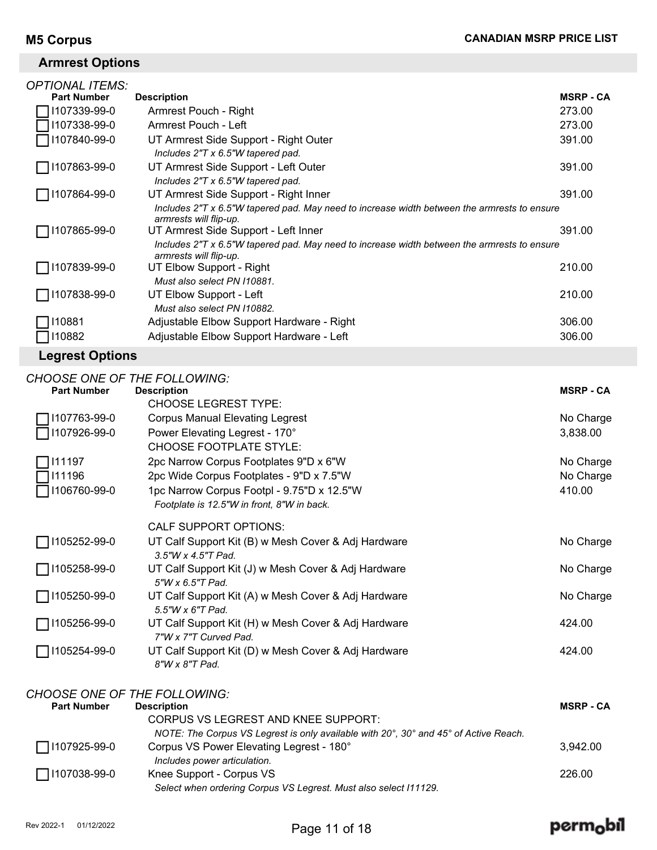### **Armrest Options**

| <i><b>OPTIONAL ITEMS:</b></i> |                                                                                                                       |                  |
|-------------------------------|-----------------------------------------------------------------------------------------------------------------------|------------------|
| <b>Part Number</b>            | <b>Description</b>                                                                                                    | <b>MSRP - CA</b> |
| 107339-99-0                   | Armrest Pouch - Right                                                                                                 | 273.00           |
| 107338-99-0                   | Armrest Pouch - Left                                                                                                  | 273.00           |
| 107840-99-0                   | UT Armrest Side Support - Right Outer<br>Includes 2"T x 6.5"W tapered pad.                                            | 391.00           |
| 107863-99-0                   | UT Armrest Side Support - Left Outer<br>Includes 2"T x 6.5"W tapered pad.                                             | 391.00           |
| 107864-99-0                   | UT Armrest Side Support - Right Inner                                                                                 | 391.00           |
|                               | Includes 2"T x 6.5"W tapered pad. May need to increase width between the armrests to ensure<br>armrests will flip-up. |                  |
| 107865-99-0                   | UT Armrest Side Support - Left Inner                                                                                  | 391.00           |
|                               | Includes 2"T x 6.5"W tapered pad. May need to increase width between the armrests to ensure<br>armrests will flip-up. |                  |
| 1107839-99-0                  | UT Elbow Support - Right                                                                                              | 210.00           |
|                               | Must also select PN 110881.                                                                                           |                  |
| 107838-99-0                   | UT Elbow Support - Left                                                                                               | 210.00           |
|                               | Must also select PN 110882.                                                                                           |                  |
| 10881                         | Adjustable Elbow Support Hardware - Right                                                                             | 306.00           |
| 10882                         | Adjustable Elbow Support Hardware - Left                                                                              | 306.00           |
|                               |                                                                                                                       |                  |

### **Legrest Options**

|                    | <b>CHOOSE ONE OF THE FOLLOWING:</b>                                                  |                  |
|--------------------|--------------------------------------------------------------------------------------|------------------|
| <b>Part Number</b> | <b>Description</b>                                                                   | <b>MSRP - CA</b> |
|                    | <b>CHOOSE LEGREST TYPE:</b>                                                          |                  |
| 1107763-99-0       | <b>Corpus Manual Elevating Legrest</b>                                               | No Charge        |
| 1107926-99-0       | Power Elevating Legrest - 170°                                                       | 3,838.00         |
|                    | <b>CHOOSE FOOTPLATE STYLE:</b>                                                       |                  |
| 111197             | 2pc Narrow Corpus Footplates 9"D x 6"W                                               | No Charge        |
| 111196             | 2pc Wide Corpus Footplates - 9"D x 7.5"W                                             | No Charge        |
| 1106760-99-0       | 1pc Narrow Corpus Footpl - 9.75"D x 12.5"W                                           | 410.00           |
|                    | Footplate is 12.5"W in front, 8"W in back.                                           |                  |
|                    | <b>CALF SUPPORT OPTIONS:</b>                                                         |                  |
| 1105252-99-0       | UT Calf Support Kit (B) w Mesh Cover & Adj Hardware                                  | No Charge        |
|                    | 3.5"W x 4.5"T Pad.                                                                   |                  |
| 1105258-99-0       | UT Calf Support Kit (J) w Mesh Cover & Adj Hardware<br>5"W x 6.5"T Pad.              | No Charge        |
| 1105250-99-0       | UT Calf Support Kit (A) w Mesh Cover & Adj Hardware<br>5.5"W x 6"T Pad.              | No Charge        |
| 1105256-99-0       | UT Calf Support Kit (H) w Mesh Cover & Adj Hardware                                  | 424.00           |
|                    | 7"W x 7"T Curved Pad.                                                                |                  |
| 1105254-99-0       | UT Calf Support Kit (D) w Mesh Cover & Adj Hardware<br>8"W x 8"T Pad.                | 424.00           |
|                    |                                                                                      |                  |
|                    | <b>CHOOSE ONE OF THE FOLLOWING:</b>                                                  |                  |
| <b>Part Number</b> | <b>Description</b>                                                                   | <b>MSRP - CA</b> |
|                    | <b>CORPUS VS LEGREST AND KNEE SUPPORT:</b>                                           |                  |
|                    | NOTE: The Corpus VS Legrest is only available with 20°, 30° and 45° of Active Reach. |                  |

| $\Box$ 1107925-99-0 | Corpus VS Power Elevating Legrest - 180°                         | 3.942.00 |
|---------------------|------------------------------------------------------------------|----------|
|                     | Includes power articulation.                                     |          |
| $\Box$ I107038-99-0 | Knee Support - Corpus VS                                         | 226.00   |
|                     | Select when ordering Corpus VS Legrest. Must also select 111129. |          |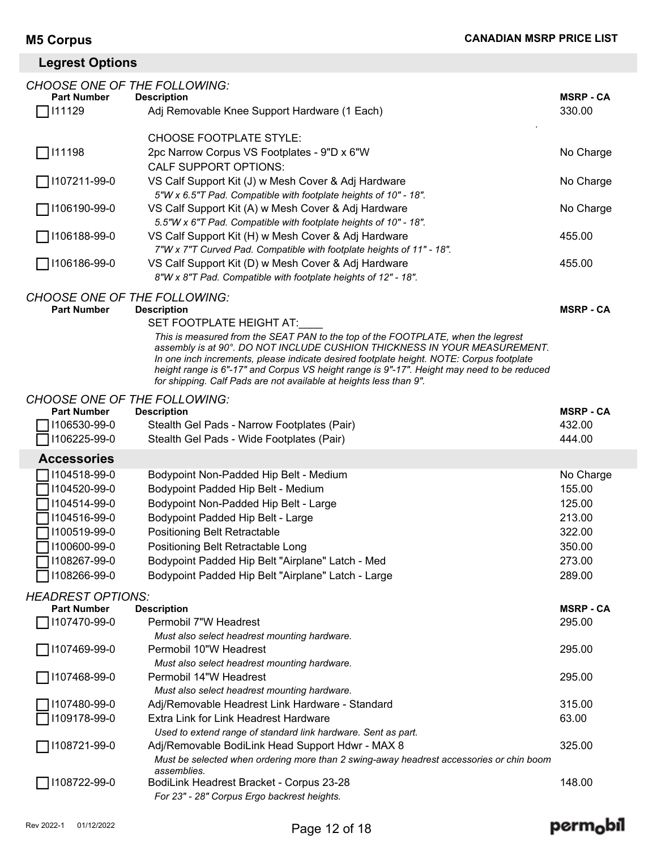# **Legrest Options**

| <b>CHOOSE ONE OF THE FOLLOWING:</b> |                                                                                                                                                               |                            |
|-------------------------------------|---------------------------------------------------------------------------------------------------------------------------------------------------------------|----------------------------|
| <b>Part Number</b><br>111129        | <b>Description</b><br>Adj Removable Knee Support Hardware (1 Each)                                                                                            | <b>MSRP - CA</b><br>330.00 |
|                                     |                                                                                                                                                               |                            |
|                                     | <b>CHOOSE FOOTPLATE STYLE:</b>                                                                                                                                |                            |
| 111198                              | 2pc Narrow Corpus VS Footplates - 9"D x 6"W                                                                                                                   | No Charge                  |
|                                     | <b>CALF SUPPORT OPTIONS:</b>                                                                                                                                  |                            |
| 1107211-99-0                        | VS Calf Support Kit (J) w Mesh Cover & Adj Hardware                                                                                                           | No Charge                  |
|                                     | 5"W x 6.5"T Pad. Compatible with footplate heights of 10" - 18".                                                                                              |                            |
| 7106190-99-0                        | VS Calf Support Kit (A) w Mesh Cover & Adj Hardware                                                                                                           | No Charge                  |
|                                     | 5.5"W x 6"T Pad. Compatible with footplate heights of 10" - 18".                                                                                              |                            |
| 7 1106188-99-0                      | VS Calf Support Kit (H) w Mesh Cover & Adj Hardware                                                                                                           | 455.00                     |
|                                     | 7"W x 7"T Curved Pad. Compatible with footplate heights of 11" - 18".                                                                                         |                            |
| ◯ 1106186-99-0                      | VS Calf Support Kit (D) w Mesh Cover & Adj Hardware                                                                                                           | 455.00                     |
|                                     | 8"W x 8"T Pad. Compatible with footplate heights of 12" - 18".                                                                                                |                            |
| <b>CHOOSE ONE OF THE FOLLOWING:</b> |                                                                                                                                                               |                            |
| <b>Part Number</b>                  | <b>Description</b>                                                                                                                                            | <b>MSRP - CA</b>           |
|                                     | SET FOOTPLATE HEIGHT AT:                                                                                                                                      |                            |
|                                     | This is measured from the SEAT PAN to the top of the FOOTPLATE, when the legrest<br>assembly is at 90°. DO NOT INCLUDE CUSHION THICKNESS IN YOUR MEASUREMENT. |                            |
|                                     | In one inch increments, please indicate desired footplate height. NOTE: Corpus footplate                                                                      |                            |
|                                     | height range is 6"-17" and Corpus VS height range is 9"-17". Height may need to be reduced                                                                    |                            |
|                                     | for shipping. Calf Pads are not available at heights less than 9".                                                                                            |                            |
| <b>CHOOSE ONE OF THE FOLLOWING:</b> |                                                                                                                                                               |                            |
| <b>Part Number</b>                  | <b>Description</b>                                                                                                                                            | <b>MSRP - CA</b>           |
| 1106530-99-0                        | Stealth Gel Pads - Narrow Footplates (Pair)                                                                                                                   | 432.00                     |
| 1106225-99-0                        | Stealth Gel Pads - Wide Footplates (Pair)                                                                                                                     | 444.00                     |
| <b>Accessories</b>                  |                                                                                                                                                               |                            |
| 1104518-99-0                        | Bodypoint Non-Padded Hip Belt - Medium                                                                                                                        | No Charge                  |
| 1104520-99-0                        | Bodypoint Padded Hip Belt - Medium                                                                                                                            | 155.00                     |
| 1104514-99-0                        | Bodypoint Non-Padded Hip Belt - Large                                                                                                                         | 125.00                     |
| 1104516-99-0                        | Bodypoint Padded Hip Belt - Large                                                                                                                             | 213.00                     |
| 1100519-99-0                        | Positioning Belt Retractable                                                                                                                                  | 322.00                     |
| 1100600-99-0                        | Positioning Belt Retractable Long                                                                                                                             | 350.00                     |
| 1108267-99-0                        | Bodypoint Padded Hip Belt "Airplane" Latch - Med                                                                                                              | 273.00                     |
| 1108266-99-0                        | Bodypoint Padded Hip Belt "Airplane" Latch - Large                                                                                                            | 289.00                     |
| <b>HEADREST OPTIONS:</b>            |                                                                                                                                                               |                            |
| <b>Part Number</b>                  | <b>Description</b>                                                                                                                                            | <b>MSRP - CA</b>           |
| 1107470-99-0                        | Permobil 7"W Headrest                                                                                                                                         | 295.00                     |
|                                     | Must also select headrest mounting hardware.                                                                                                                  |                            |
| 1107469-99-0                        | Permobil 10"W Headrest                                                                                                                                        | 295.00                     |
|                                     | Must also select headrest mounting hardware.                                                                                                                  |                            |
| 1107468-99-0                        | Permobil 14"W Headrest                                                                                                                                        | 295.00                     |
|                                     | Must also select headrest mounting hardware.                                                                                                                  | 315.00                     |
| 1107480-99-0                        | Adj/Removable Headrest Link Hardware - Standard<br>Extra Link for Link Headrest Hardware                                                                      |                            |
| 1109178-99-0                        | Used to extend range of standard link hardware. Sent as part.                                                                                                 | 63.00                      |
| 1108721-99-0                        | Adj/Removable BodiLink Head Support Hdwr - MAX 8                                                                                                              | 325.00                     |
|                                     | Must be selected when ordering more than 2 swing-away headrest accessories or chin boom                                                                       |                            |
|                                     | assemblies.                                                                                                                                                   |                            |
| 1108722-99-0                        | BodiLink Headrest Bracket - Corpus 23-28                                                                                                                      | 148.00                     |
|                                     | For 23" - 28" Corpus Ergo backrest heights.                                                                                                                   |                            |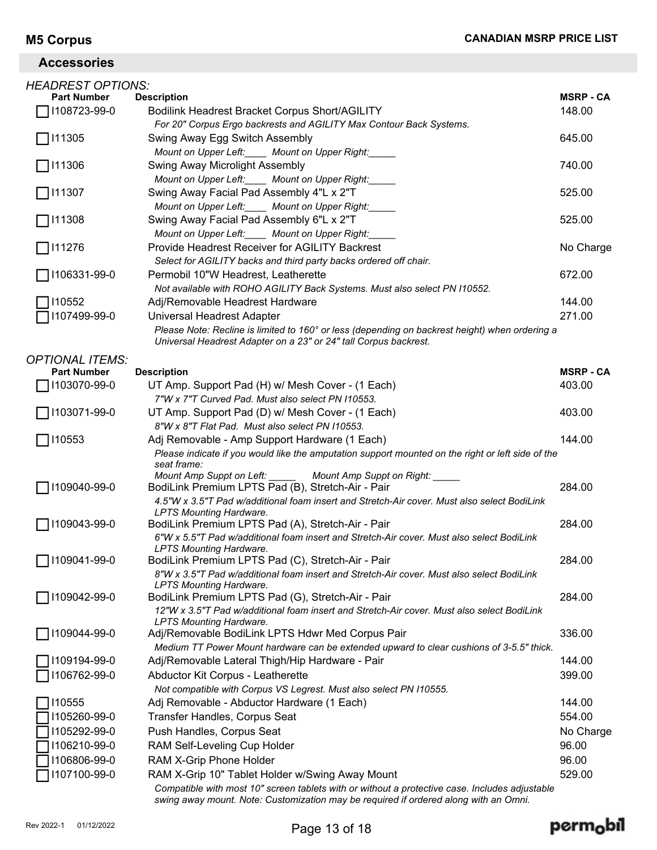### **Accessories**

| <i>HEADREST OPTIONS:</i> |                                                                                                                                                                    |                  |
|--------------------------|--------------------------------------------------------------------------------------------------------------------------------------------------------------------|------------------|
| <b>Part Number</b>       | <b>Description</b>                                                                                                                                                 | <b>MSRP - CA</b> |
| 1108723-99-0             | Bodilink Headrest Bracket Corpus Short/AGILITY                                                                                                                     | 148.00           |
|                          | For 20" Corpus Ergo backrests and AGILITY Max Contour Back Systems.                                                                                                |                  |
| 111305                   | Swing Away Egg Switch Assembly                                                                                                                                     | 645.00           |
|                          | Mount on Upper Left:_____ Mount on Upper Right:_____                                                                                                               |                  |
| 111306                   | Swing Away Microlight Assembly                                                                                                                                     | 740.00           |
|                          | Mount on Upper Left:_____ Mount on Upper Right:_____                                                                                                               |                  |
| ヿ!11307                  | Swing Away Facial Pad Assembly 4"L x 2"T                                                                                                                           | 525.00           |
|                          | Mount on Upper Left: ____ Mount on Upper Right:                                                                                                                    |                  |
| ヿ!11308                  | Swing Away Facial Pad Assembly 6"L x 2"T                                                                                                                           | 525.00           |
|                          | Mount on Upper Left:_____ Mount on Upper Right:_                                                                                                                   |                  |
| 111276                   | Provide Headrest Receiver for AGILITY Backrest                                                                                                                     | No Charge        |
|                          | Select for AGILITY backs and third party backs ordered off chair.                                                                                                  |                  |
| 1106331-99-0             | Permobil 10"W Headrest, Leatherette                                                                                                                                | 672.00           |
| 110552                   | Not available with ROHO AGILITY Back Systems. Must also select PN I10552.<br>Adj/Removable Headrest Hardware                                                       | 144.00           |
|                          |                                                                                                                                                                    |                  |
| 1107499-99-0             | Universal Headrest Adapter                                                                                                                                         | 271.00           |
|                          | Please Note: Recline is limited to 160° or less (depending on backrest height) when ordering a<br>Universal Headrest Adapter on a 23" or 24" tall Corpus backrest. |                  |
| <b>OPTIONAL ITEMS:</b>   |                                                                                                                                                                    |                  |
| <b>Part Number</b>       | <b>Description</b>                                                                                                                                                 | <b>MSRP - CA</b> |
| 1103070-99-0             | UT Amp. Support Pad (H) w/ Mesh Cover - (1 Each)                                                                                                                   | 403.00           |
|                          | 7"W x 7"T Curved Pad. Must also select PN 110553.                                                                                                                  |                  |
| 1103071-99-0             | UT Amp. Support Pad (D) w/ Mesh Cover - (1 Each)                                                                                                                   | 403.00           |
|                          | 8"W x 8"T Flat Pad. Must also select PN I10553.                                                                                                                    |                  |
| 110553                   | Adj Removable - Amp Support Hardware (1 Each)                                                                                                                      | 144.00           |
|                          | Please indicate if you would like the amputation support mounted on the right or left side of the<br>seat frame:                                                   |                  |
|                          | Mount Amp Suppt on Left: _______ Mount Amp Suppt on Right: _____                                                                                                   |                  |
| 1109040-99-0             | BodiLink Premium LPTS Pad (B), Stretch-Air - Pair                                                                                                                  | 284.00           |
|                          | 4.5"W x 3.5"T Pad w/additional foam insert and Stretch-Air cover. Must also select BodiLink                                                                        |                  |
|                          | <b>LPTS Mounting Hardware.</b>                                                                                                                                     |                  |
| 1109043-99-0             | BodiLink Premium LPTS Pad (A), Stretch-Air - Pair<br>6"W x 5.5"T Pad w/additional foam insert and Stretch-Air cover. Must also select BodiLink                     | 284.00           |
|                          | <b>LPTS Mounting Hardware.</b>                                                                                                                                     |                  |
| 1109041-99-0             | BodiLink Premium LPTS Pad (C), Stretch-Air - Pair                                                                                                                  | 284.00           |
|                          | 8"W x 3.5"T Pad w/additional foam insert and Stretch-Air cover. Must also select BodiLink                                                                          |                  |
|                          | <b>LPTS Mounting Hardware.</b>                                                                                                                                     |                  |
| 1109042-99-0             | BodiLink Premium LPTS Pad (G), Stretch-Air - Pair                                                                                                                  | 284.00           |
|                          | 12"W x 3.5"T Pad w/additional foam insert and Stretch-Air cover. Must also select BodiLink                                                                         |                  |
| 1109044-99-0             | <b>LPTS Mounting Hardware.</b><br>Adj/Removable BodiLink LPTS Hdwr Med Corpus Pair                                                                                 | 336.00           |
|                          | Medium TT Power Mount hardware can be extended upward to clear cushions of 3-5.5" thick.                                                                           |                  |
| 1109194-99-0             | Adj/Removable Lateral Thigh/Hip Hardware - Pair                                                                                                                    | 144.00           |
| 106762-99-0              | Abductor Kit Corpus - Leatherette                                                                                                                                  | 399.00           |
|                          | Not compatible with Corpus VS Legrest. Must also select PN I10555.                                                                                                 |                  |
| 110555                   | Adj Removable - Abductor Hardware (1 Each)                                                                                                                         | 144.00           |
| 1105260-99-0             | Transfer Handles, Corpus Seat                                                                                                                                      | 554.00           |
| 1105292-99-0             | Push Handles, Corpus Seat                                                                                                                                          | No Charge        |
| 1106210-99-0             | RAM Self-Leveling Cup Holder                                                                                                                                       | 96.00            |
| 1106806-99-0             | RAM X-Grip Phone Holder                                                                                                                                            | 96.00            |
| 1107100-99-0             | RAM X-Grip 10" Tablet Holder w/Swing Away Mount                                                                                                                    | 529.00           |
|                          | Compatible with most 10" screen tablets with or without a protective case. Includes adjustable                                                                     |                  |
|                          | swing away mount. Note: Customization may be required if ordered along with an Omni.                                                                               |                  |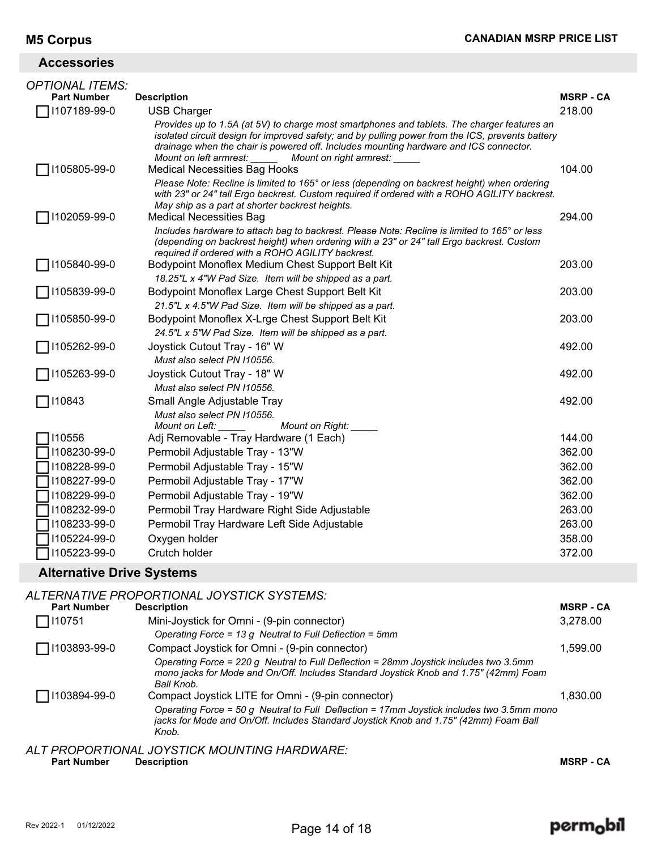| <b>Accessories</b> |  |
|--------------------|--|
|                    |  |

| <i>OPTIONAL ITEMS:</i> |                                                                                                                                                                                                                                                                                                                                               |                  |
|------------------------|-----------------------------------------------------------------------------------------------------------------------------------------------------------------------------------------------------------------------------------------------------------------------------------------------------------------------------------------------|------------------|
| <b>Part Number</b>     | <b>Description</b>                                                                                                                                                                                                                                                                                                                            | <b>MSRP - CA</b> |
| 1107189-99-0           | <b>USB Charger</b>                                                                                                                                                                                                                                                                                                                            | 218.00           |
|                        | Provides up to 1.5A (at 5V) to charge most smartphones and tablets. The charger features an<br>isolated circuit design for improved safety; and by pulling power from the ICS, prevents battery<br>drainage when the chair is powered off. Includes mounting hardware and ICS connector.<br>Mount on left armrest:<br>Mount on right armrest: |                  |
| 1105805-99-0           | <b>Medical Necessities Bag Hooks</b>                                                                                                                                                                                                                                                                                                          | 104.00           |
|                        | Please Note: Recline is limited to 165° or less (depending on backrest height) when ordering<br>with 23" or 24" tall Ergo backrest. Custom required if ordered with a ROHO AGILITY backrest.<br>May ship as a part at shorter backrest heights.                                                                                               |                  |
| 1102059-99-0           | <b>Medical Necessities Bag</b>                                                                                                                                                                                                                                                                                                                | 294.00           |
|                        | Includes hardware to attach bag to backrest. Please Note: Recline is limited to 165° or less<br>(depending on backrest height) when ordering with a 23" or 24" tall Ergo backrest. Custom<br>required if ordered with a ROHO AGILITY backrest.                                                                                                |                  |
| 1105840-99-0           | Bodypoint Monoflex Medium Chest Support Belt Kit                                                                                                                                                                                                                                                                                              | 203.00           |
|                        | 18.25"L x 4"W Pad Size. Item will be shipped as a part.                                                                                                                                                                                                                                                                                       |                  |
| 1105839-99-0           | Bodypoint Monoflex Large Chest Support Belt Kit                                                                                                                                                                                                                                                                                               | 203.00           |
|                        | 21.5"L x 4.5"W Pad Size. Item will be shipped as a part.                                                                                                                                                                                                                                                                                      |                  |
| 1105850-99-0           | Bodypoint Monoflex X-Lrge Chest Support Belt Kit                                                                                                                                                                                                                                                                                              | 203.00           |
|                        | 24.5"L x 5"W Pad Size. Item will be shipped as a part.                                                                                                                                                                                                                                                                                        |                  |
| 1105262-99-0           | Joystick Cutout Tray - 16" W                                                                                                                                                                                                                                                                                                                  | 492.00           |
|                        | Must also select PN I10556.                                                                                                                                                                                                                                                                                                                   |                  |
| 1105263-99-0           | Joystick Cutout Tray - 18" W                                                                                                                                                                                                                                                                                                                  | 492.00           |
|                        | Must also select PN 110556.                                                                                                                                                                                                                                                                                                                   |                  |
| 110843                 | Small Angle Adjustable Tray                                                                                                                                                                                                                                                                                                                   | 492.00           |
|                        | Must also select PN 110556.                                                                                                                                                                                                                                                                                                                   |                  |
|                        | Mount on Left:<br>Mount on Right:                                                                                                                                                                                                                                                                                                             |                  |
| 110556                 | Adj Removable - Tray Hardware (1 Each)                                                                                                                                                                                                                                                                                                        | 144.00           |
| 1108230-99-0           | Permobil Adjustable Tray - 13"W                                                                                                                                                                                                                                                                                                               | 362.00           |
| 1108228-99-0           | Permobil Adjustable Tray - 15"W                                                                                                                                                                                                                                                                                                               | 362.00           |
| 1108227-99-0           | Permobil Adjustable Tray - 17"W                                                                                                                                                                                                                                                                                                               | 362.00           |
| 1108229-99-0           | Permobil Adjustable Tray - 19"W                                                                                                                                                                                                                                                                                                               | 362.00           |
| 1108232-99-0           | Permobil Tray Hardware Right Side Adjustable                                                                                                                                                                                                                                                                                                  | 263.00           |
| 1108233-99-0           | Permobil Tray Hardware Left Side Adjustable                                                                                                                                                                                                                                                                                                   | 263.00           |
| 1105224-99-0           | Oxygen holder                                                                                                                                                                                                                                                                                                                                 | 358.00           |
| 1105223-99-0           | Crutch holder                                                                                                                                                                                                                                                                                                                                 | 372.00           |
|                        |                                                                                                                                                                                                                                                                                                                                               |                  |

### **Alternative Drive Systems**

|                       | ALTERNATIVE PROPORTIONAL JOYSTICK SYSTEMS:                                                                                                                                                   |                  |
|-----------------------|----------------------------------------------------------------------------------------------------------------------------------------------------------------------------------------------|------------------|
| <b>Part Number</b>    | <b>Description</b>                                                                                                                                                                           | <b>MSRP - CA</b> |
| 7110751               | Mini-Joystick for Omni - (9-pin connector)                                                                                                                                                   | 3,278.00         |
|                       | Operating Force = 13 g Neutral to Full Deflection = 5mm                                                                                                                                      |                  |
| $\sqrt{1103893-99-0}$ | Compact Joystick for Omni - (9-pin connector)                                                                                                                                                | 1,599.00         |
|                       | Operating Force = 220 g Neutral to Full Deflection = 28mm Joystick includes two 3.5mm<br>mono jacks for Mode and On/Off. Includes Standard Joystick Knob and 1.75" (42mm) Foam<br>Ball Knob. |                  |
| 1103894-99-0          | Compact Joystick LITE for Omni - (9-pin connector)                                                                                                                                           | 1.830.00         |
|                       | Operating Force = 50 g Neutral to Full Deflection = 17mm Joystick includes two 3.5mm mono<br>jacks for Mode and On/Off. Includes Standard Joystick Knob and 1.75" (42mm) Foam Ball<br>Knob.  |                  |
|                       | ALT PROPORTIONAL JOYSTICK MOUNTING HARDWARE:                                                                                                                                                 |                  |

**Part Number Description MSRP - CA**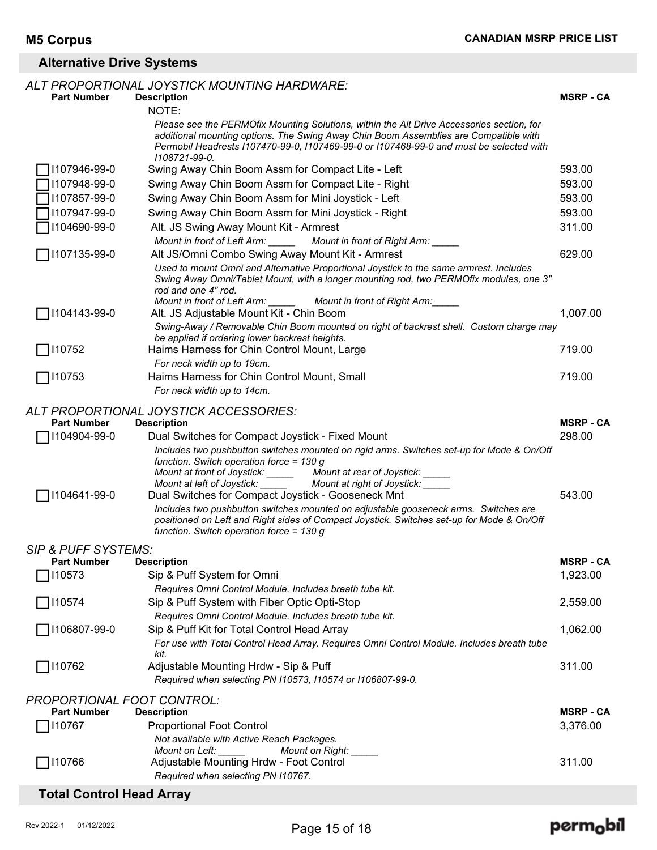### **Alternative Drive Systems**

|                                                         | ALT PROPORTIONAL JOYSTICK MOUNTING HARDWARE:                                                                                                                                                                                                                                                                                                                                                                                                                                                                                                                                |                  |
|---------------------------------------------------------|-----------------------------------------------------------------------------------------------------------------------------------------------------------------------------------------------------------------------------------------------------------------------------------------------------------------------------------------------------------------------------------------------------------------------------------------------------------------------------------------------------------------------------------------------------------------------------|------------------|
| <b>Part Number</b>                                      | <b>Description</b>                                                                                                                                                                                                                                                                                                                                                                                                                                                                                                                                                          | <b>MSRP - CA</b> |
|                                                         | NOTE:                                                                                                                                                                                                                                                                                                                                                                                                                                                                                                                                                                       |                  |
|                                                         | Please see the PERMOfix Mounting Solutions, within the Alt Drive Accessories section, for<br>additional mounting options. The Swing Away Chin Boom Assemblies are Compatible with<br>Permobil Headrests 1107470-99-0, 1107469-99-0 or 1107468-99-0 and must be selected with<br>1108721-99-0.                                                                                                                                                                                                                                                                               |                  |
| 1107946-99-0                                            | Swing Away Chin Boom Assm for Compact Lite - Left                                                                                                                                                                                                                                                                                                                                                                                                                                                                                                                           | 593.00           |
| 1107948-99-0                                            | Swing Away Chin Boom Assm for Compact Lite - Right                                                                                                                                                                                                                                                                                                                                                                                                                                                                                                                          | 593.00           |
| 1107857-99-0                                            | Swing Away Chin Boom Assm for Mini Joystick - Left                                                                                                                                                                                                                                                                                                                                                                                                                                                                                                                          | 593.00           |
| 1107947-99-0                                            | Swing Away Chin Boom Assm for Mini Joystick - Right                                                                                                                                                                                                                                                                                                                                                                                                                                                                                                                         | 593.00           |
| 1104690-99-0                                            | Alt. JS Swing Away Mount Kit - Armrest                                                                                                                                                                                                                                                                                                                                                                                                                                                                                                                                      | 311.00           |
|                                                         | Mount in front of Left Arm: _____<br>Mount in front of Right Arm:                                                                                                                                                                                                                                                                                                                                                                                                                                                                                                           |                  |
| 1107135-99-0                                            | Alt JS/Omni Combo Swing Away Mount Kit - Armrest                                                                                                                                                                                                                                                                                                                                                                                                                                                                                                                            | 629.00           |
|                                                         | Used to mount Omni and Alternative Proportional Joystick to the same armrest. Includes<br>Swing Away Omni/Tablet Mount, with a longer mounting rod, two PERMOfix modules, one 3"<br>rod and one 4" rod.                                                                                                                                                                                                                                                                                                                                                                     |                  |
| 1104143-99-0                                            | Mount in front of Left Arm: ______ Mount in front of Right Arm: _____<br>Alt. JS Adjustable Mount Kit - Chin Boom                                                                                                                                                                                                                                                                                                                                                                                                                                                           | 1,007.00         |
|                                                         | Swing-Away / Removable Chin Boom mounted on right of backrest shell. Custom charge may                                                                                                                                                                                                                                                                                                                                                                                                                                                                                      |                  |
|                                                         | be applied if ordering lower backrest heights.                                                                                                                                                                                                                                                                                                                                                                                                                                                                                                                              |                  |
| 110752                                                  | Haims Harness for Chin Control Mount, Large                                                                                                                                                                                                                                                                                                                                                                                                                                                                                                                                 | 719.00           |
|                                                         | For neck width up to 19cm.                                                                                                                                                                                                                                                                                                                                                                                                                                                                                                                                                  |                  |
| 7110753                                                 | Haims Harness for Chin Control Mount, Small                                                                                                                                                                                                                                                                                                                                                                                                                                                                                                                                 | 719.00           |
|                                                         | For neck width up to 14cm.                                                                                                                                                                                                                                                                                                                                                                                                                                                                                                                                                  |                  |
| <b>Part Number</b>                                      | ALT PROPORTIONAL JOYSTICK ACCESSORIES:<br><b>Description</b>                                                                                                                                                                                                                                                                                                                                                                                                                                                                                                                | <b>MSRP - CA</b> |
| 1104904-99-0                                            | Dual Switches for Compact Joystick - Fixed Mount                                                                                                                                                                                                                                                                                                                                                                                                                                                                                                                            | 298.00           |
| ] I104641-99-0                                          | Includes two pushbutton switches mounted on rigid arms. Switches set-up for Mode & On/Off<br>function. Switch operation force = $130 g$<br>Mount at front of Joystick: _____<br>Mount at rear of Joystick: _____<br>Mount at left of Joystick: _____<br>Mount at right of Joystick:<br>Dual Switches for Compact Joystick - Gooseneck Mnt<br>Includes two pushbutton switches mounted on adjustable gooseneck arms. Switches are<br>positioned on Left and Right sides of Compact Joystick. Switches set-up for Mode & On/Off<br>function. Switch operation force = $130 g$ | 543.00           |
| <b>SIP &amp; PUFF SYSTEMS:</b>                          |                                                                                                                                                                                                                                                                                                                                                                                                                                                                                                                                                                             |                  |
| <b>Part Number</b>                                      | <b>Description</b>                                                                                                                                                                                                                                                                                                                                                                                                                                                                                                                                                          | <b>MSRP - CA</b> |
| 110573                                                  | Sip & Puff System for Omni                                                                                                                                                                                                                                                                                                                                                                                                                                                                                                                                                  | 1,923.00         |
|                                                         | Requires Omni Control Module. Includes breath tube kit.                                                                                                                                                                                                                                                                                                                                                                                                                                                                                                                     |                  |
| 110574                                                  | Sip & Puff System with Fiber Optic Opti-Stop                                                                                                                                                                                                                                                                                                                                                                                                                                                                                                                                | 2,559.00         |
|                                                         | Requires Omni Control Module. Includes breath tube kit.                                                                                                                                                                                                                                                                                                                                                                                                                                                                                                                     |                  |
| 1106807-99-0                                            | Sip & Puff Kit for Total Control Head Array                                                                                                                                                                                                                                                                                                                                                                                                                                                                                                                                 | 1,062.00         |
|                                                         | For use with Total Control Head Array. Requires Omni Control Module. Includes breath tube                                                                                                                                                                                                                                                                                                                                                                                                                                                                                   |                  |
| 110762                                                  | kit.<br>Adjustable Mounting Hrdw - Sip & Puff                                                                                                                                                                                                                                                                                                                                                                                                                                                                                                                               | 311.00           |
|                                                         | Required when selecting PN I10573, I10574 or I106807-99-0.                                                                                                                                                                                                                                                                                                                                                                                                                                                                                                                  |                  |
|                                                         |                                                                                                                                                                                                                                                                                                                                                                                                                                                                                                                                                                             |                  |
| <b>PROPORTIONAL FOOT CONTROL:</b><br><b>Part Number</b> | <b>Description</b>                                                                                                                                                                                                                                                                                                                                                                                                                                                                                                                                                          | <b>MSRP - CA</b> |
| 110767                                                  | <b>Proportional Foot Control</b>                                                                                                                                                                                                                                                                                                                                                                                                                                                                                                                                            | 3,376.00         |
|                                                         | Not available with Active Reach Packages.                                                                                                                                                                                                                                                                                                                                                                                                                                                                                                                                   |                  |
|                                                         | Mount on Left:<br>Mount on Right: __                                                                                                                                                                                                                                                                                                                                                                                                                                                                                                                                        |                  |
| 110766                                                  | Adjustable Mounting Hrdw - Foot Control<br>Required when selecting PN I10767.                                                                                                                                                                                                                                                                                                                                                                                                                                                                                               | 311.00           |
|                                                         |                                                                                                                                                                                                                                                                                                                                                                                                                                                                                                                                                                             |                  |
| <b>Total Control Head Array</b>                         |                                                                                                                                                                                                                                                                                                                                                                                                                                                                                                                                                                             |                  |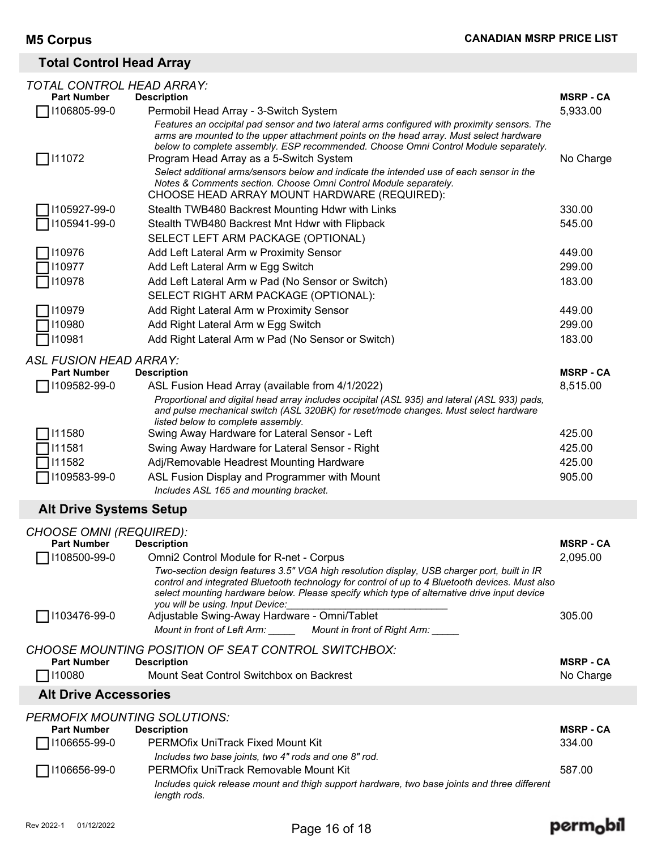### **Total Control Head Array**

| TOTAL CONTROL HEAD ARRAY:      |                                                                                                                                                                                                                            |                  |
|--------------------------------|----------------------------------------------------------------------------------------------------------------------------------------------------------------------------------------------------------------------------|------------------|
| <b>Part Number</b>             | <b>Description</b>                                                                                                                                                                                                         | <b>MSRP - CA</b> |
| 1106805-99-0                   | Permobil Head Array - 3-Switch System                                                                                                                                                                                      | 5,933.00         |
|                                | Features an occipital pad sensor and two lateral arms configured with proximity sensors. The<br>arms are mounted to the upper attachment points on the head array. Must select hardware                                    |                  |
|                                | below to complete assembly. ESP recommended. Choose Omni Control Module separately.                                                                                                                                        |                  |
| 111072                         | Program Head Array as a 5-Switch System                                                                                                                                                                                    | No Charge        |
|                                | Select additional arms/sensors below and indicate the intended use of each sensor in the                                                                                                                                   |                  |
|                                | Notes & Comments section. Choose Omni Control Module separately.<br>CHOOSE HEAD ARRAY MOUNT HARDWARE (REQUIRED):                                                                                                           |                  |
| 1105927-99-0                   | Stealth TWB480 Backrest Mounting Hdwr with Links                                                                                                                                                                           | 330.00           |
| 1105941-99-0                   | Stealth TWB480 Backrest Mnt Hdwr with Flipback                                                                                                                                                                             | 545.00           |
|                                | SELECT LEFT ARM PACKAGE (OPTIONAL)                                                                                                                                                                                         |                  |
| 110976                         | Add Left Lateral Arm w Proximity Sensor                                                                                                                                                                                    | 449.00           |
| 110977                         | Add Left Lateral Arm w Egg Switch                                                                                                                                                                                          | 299.00           |
| 110978                         | Add Left Lateral Arm w Pad (No Sensor or Switch)                                                                                                                                                                           | 183.00           |
|                                | SELECT RIGHT ARM PACKAGE (OPTIONAL):                                                                                                                                                                                       |                  |
| 110979                         | Add Right Lateral Arm w Proximity Sensor                                                                                                                                                                                   | 449.00           |
| 110980                         | Add Right Lateral Arm w Egg Switch                                                                                                                                                                                         | 299.00           |
| 110981                         | Add Right Lateral Arm w Pad (No Sensor or Switch)                                                                                                                                                                          | 183.00           |
|                                |                                                                                                                                                                                                                            |                  |
| ASL FUSION HEAD ARRAY:         |                                                                                                                                                                                                                            |                  |
| <b>Part Number</b>             | <b>Description</b>                                                                                                                                                                                                         | <b>MSRP - CA</b> |
| 1109582-99-0                   | ASL Fusion Head Array (available from 4/1/2022)                                                                                                                                                                            | 8,515.00         |
|                                | Proportional and digital head array includes occipital (ASL 935) and lateral (ASL 933) pads,<br>and pulse mechanical switch (ASL 320BK) for reset/mode changes. Must select hardware<br>listed below to complete assembly. |                  |
| 111580                         | Swing Away Hardware for Lateral Sensor - Left                                                                                                                                                                              | 425.00           |
| 111581                         | Swing Away Hardware for Lateral Sensor - Right                                                                                                                                                                             | 425.00           |
| 111582                         | Adj/Removable Headrest Mounting Hardware                                                                                                                                                                                   | 425.00           |
| 1109583-99-0                   | ASL Fusion Display and Programmer with Mount                                                                                                                                                                               | 905.00           |
|                                | Includes ASL 165 and mounting bracket.                                                                                                                                                                                     |                  |
| <b>Alt Drive Systems Setup</b> |                                                                                                                                                                                                                            |                  |
| <b>CHOOSE OMNI (REQUIRED):</b> |                                                                                                                                                                                                                            |                  |
| <b>Part Number</b>             | <b>Description</b>                                                                                                                                                                                                         | <b>MSRP - CA</b> |
| $\Box$ I108500-99-0            | Omni2 Control Module for R-net - Corpus                                                                                                                                                                                    | 2,095.00         |
|                                | Two-section design features 3.5" VGA high resolution display, USB charger port, built in IR                                                                                                                                |                  |
|                                | control and integrated Bluetooth technology for control of up to 4 Bluetooth devices. Must also<br>select mounting hardware below. Please specify which type of alternative drive input device                             |                  |
|                                | you will be using. Input Device:                                                                                                                                                                                           |                  |
| □ 1103476-99-0                 | Adjustable Swing-Away Hardware - Omni/Tablet                                                                                                                                                                               | 305.00           |
|                                | Mount in front of Right Arm:<br>Mount in front of Left Arm:                                                                                                                                                                |                  |
|                                | CHOOSE MOUNTING POSITION OF SEAT CONTROL SWITCHBOX:                                                                                                                                                                        |                  |
| <b>Part Number</b>             | <b>Description</b>                                                                                                                                                                                                         | <b>MSRP - CA</b> |
| 110080                         | Mount Seat Control Switchbox on Backrest                                                                                                                                                                                   | No Charge        |
| <b>Alt Drive Accessories</b>   |                                                                                                                                                                                                                            |                  |
|                                |                                                                                                                                                                                                                            |                  |
| <b>Part Number</b>             | PERMOFIX MOUNTING SOLUTIONS:<br><b>Description</b>                                                                                                                                                                         | <b>MSRP - CA</b> |
| 1106655-99-0                   | <b>PERMOfix UniTrack Fixed Mount Kit</b>                                                                                                                                                                                   | 334.00           |
|                                | Includes two base joints, two 4" rods and one 8" rod.                                                                                                                                                                      |                  |
| 1106656-99-0                   | PERMOfix UniTrack Removable Mount Kit                                                                                                                                                                                      | 587.00           |
|                                | Includes quick release mount and thigh support hardware, two base joints and three different                                                                                                                               |                  |

*length rods.*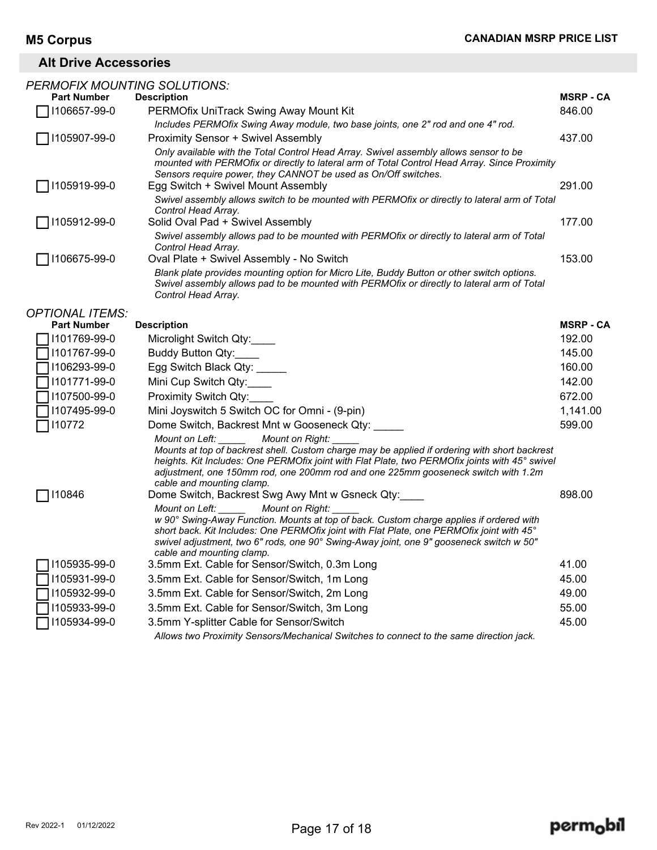### **Alt Drive Accessories**

| <b>PERMOFIX MOUNTING SOLUTIONS:</b> |                                                                                                                                                                                                                                                                                                                                                              |                |
|-------------------------------------|--------------------------------------------------------------------------------------------------------------------------------------------------------------------------------------------------------------------------------------------------------------------------------------------------------------------------------------------------------------|----------------|
| <b>Part Number</b>                  | <b>Description</b>                                                                                                                                                                                                                                                                                                                                           | <b>MSRP-CA</b> |
| 1106657-99-0                        | PERMOfix UniTrack Swing Away Mount Kit                                                                                                                                                                                                                                                                                                                       | 846.00         |
|                                     | Includes PERMOfix Swing Away module, two base joints, one 2" rod and one 4" rod.                                                                                                                                                                                                                                                                             |                |
| 1105907-99-0                        | <b>Proximity Sensor + Swivel Assembly</b>                                                                                                                                                                                                                                                                                                                    | 437.00         |
|                                     | Only available with the Total Control Head Array. Swivel assembly allows sensor to be<br>mounted with PERMOfix or directly to lateral arm of Total Control Head Array. Since Proximity<br>Sensors require power, they CANNOT be used as On/Off switches.                                                                                                     |                |
| 1105919-99-0                        | Egg Switch + Swivel Mount Assembly                                                                                                                                                                                                                                                                                                                           | 291.00         |
|                                     | Swivel assembly allows switch to be mounted with PERMOfix or directly to lateral arm of Total<br>Control Head Array.                                                                                                                                                                                                                                         |                |
| 1105912-99-0                        | Solid Oval Pad + Swivel Assembly                                                                                                                                                                                                                                                                                                                             | 177.00         |
|                                     | Swivel assembly allows pad to be mounted with PERMOfix or directly to lateral arm of Total<br>Control Head Array.                                                                                                                                                                                                                                            |                |
| 1106675-99-0                        | Oval Plate + Swivel Assembly - No Switch                                                                                                                                                                                                                                                                                                                     | 153.00         |
|                                     | Blank plate provides mounting option for Micro Lite, Buddy Button or other switch options.<br>Swivel assembly allows pad to be mounted with PERMOfix or directly to lateral arm of Total<br>Control Head Array.                                                                                                                                              |                |
| <b>OPTIONAL ITEMS:</b>              |                                                                                                                                                                                                                                                                                                                                                              |                |
| <b>Part Number</b>                  | <b>Description</b>                                                                                                                                                                                                                                                                                                                                           | <b>MSRP-CA</b> |
| 1101769-99-0                        | Microlight Switch Qty:                                                                                                                                                                                                                                                                                                                                       | 192.00         |
| 1101767-99-0                        | Buddy Button Qty:                                                                                                                                                                                                                                                                                                                                            | 145.00         |
| 1106293-99-0                        | Egg Switch Black Qty:                                                                                                                                                                                                                                                                                                                                        | 160.00         |
| 1101771-99-0                        | Mini Cup Switch Qty:                                                                                                                                                                                                                                                                                                                                         | 142.00         |
| 1107500-99-0                        | Proximity Switch Qty:                                                                                                                                                                                                                                                                                                                                        | 672.00         |
| 1107495-99-0                        | Mini Joyswitch 5 Switch OC for Omni - (9-pin)                                                                                                                                                                                                                                                                                                                | 1,141.00       |
| 110772                              | Dome Switch, Backrest Mnt w Gooseneck Qty:                                                                                                                                                                                                                                                                                                                   | 599.00         |
|                                     | Mount on Left: _____<br>Mount on Right:<br>Mounts at top of backrest shell. Custom charge may be applied if ordering with short backrest<br>heights. Kit Includes: One PERMOfix joint with Flat Plate, two PERMOfix joints with 45° swivel<br>adjustment, one 150mm rod, one 200mm rod and one 225mm gooseneck switch with 1.2m<br>cable and mounting clamp. |                |
| 110846                              | Dome Switch, Backrest Swg Awy Mnt w Gsneck Qty:                                                                                                                                                                                                                                                                                                              | 898.00         |
|                                     | Mount on Right:<br>Mount on Left:<br>w 90° Swing-Away Function. Mounts at top of back. Custom charge applies if ordered with<br>short back. Kit Includes: One PERMOfix joint with Flat Plate, one PERMOfix joint with 45°<br>swivel adjustment, two 6" rods, one 90° Swing-Away joint, one 9" gooseneck switch w 50"<br>cable and mounting clamp.            |                |
| 1105935-99-0                        | 3.5mm Ext. Cable for Sensor/Switch, 0.3m Long                                                                                                                                                                                                                                                                                                                | 41.00          |
| 1105931-99-0                        | 3.5mm Ext. Cable for Sensor/Switch, 1m Long                                                                                                                                                                                                                                                                                                                  | 45.00          |
| 1105932-99-0                        | 3.5mm Ext. Cable for Sensor/Switch, 2m Long                                                                                                                                                                                                                                                                                                                  | 49.00          |
| 1105933-99-0                        | 3.5mm Ext. Cable for Sensor/Switch, 3m Long                                                                                                                                                                                                                                                                                                                  | 55.00          |
| 1105934-99-0                        | 3.5mm Y-splitter Cable for Sensor/Switch                                                                                                                                                                                                                                                                                                                     | 45.00          |
|                                     | Allows two Proximity Sensors/Mechanical Switches to connect to the same direction jack.                                                                                                                                                                                                                                                                      |                |